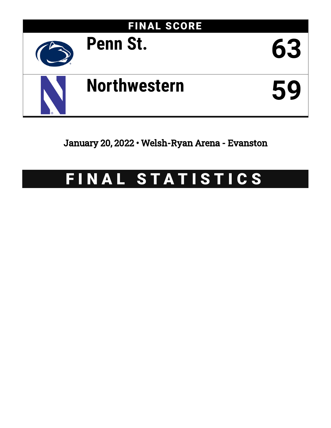

### January 20, 2022 • Welsh-Ryan Arena - Evanston

## FINAL STATISTICS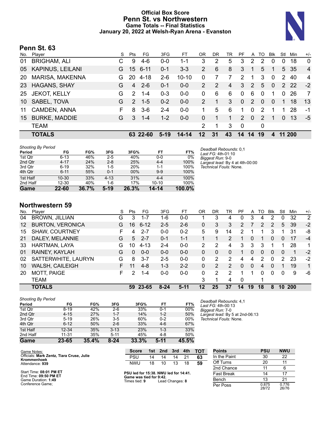### **Official Box Score Penn St. vs Northwestern Game Totals -- Final Statistics January 20, 2022 at Welsh-Ryan Arena - Evanston**



### **Penn St. 63**

| No. | Player                  | S | Pts           | FG.      | 3FG     | FТ        | ΟR       | DR | TR | PF             | A        | TO            | <b>Blk</b> | Stl      | Min    | $+/-$          |
|-----|-------------------------|---|---------------|----------|---------|-----------|----------|----|----|----------------|----------|---------------|------------|----------|--------|----------------|
| 01  | <b>BRIGHAM, ALI</b>     |   | 9             | $4-6$    | $0 - 0$ | 1-1       | 3        | 2  | 5  | 3              | 2        | 2             | $\Omega$   | 0        | 18     | $\mathbf{0}$   |
| 05  | <b>KAPINUS, LEILANI</b> | G | 15            | $6 - 11$ | $0 - 1$ | $3 - 3$   | 2        | 6  | 8  | 3              |          | 5             | 1          | 5        | 35     | $\overline{4}$ |
| 20  | <b>MARISA, MAKENNA</b>  | G | 20            | $4 - 18$ | $2-6$   | $10 - 10$ | 0        |    |    | 2              |          | 3             | $\Omega$   | 2        | 40     | 4              |
| 23  | <b>HAGANS, SHAY</b>     | G | 4             | $2 - 6$  | 0-1     | $0-0$     | 2        | 2  | 4  | 3              | 2        | 5             | $\Omega$   |          | 2 2 2  | $-2$           |
| 25  | <b>JEKOT, KELLY</b>     | G | $\mathcal{P}$ | $1 - 4$  | $0 - 3$ | $0 - 0$   | $\Omega$ | 6  | 6  | $\Omega$       | 6        | 0             | 1          | $\Omega$ | 26     | 7              |
| 10  | SABEL, TOVA             | G | $\mathcal{P}$ | $1 - 5$  | $0 - 2$ | $0 - 0$   | 2        |    | 3  | $\Omega$       | 2        | $\Omega$      | $\Omega$   | 1        | 18     | 13             |
| 11  | CAMDEN, ANNA            | F | 8             | $3-6$    | $2 - 4$ | $0 - 0$   |          | 5  | 6  | 1              | 0        | 2             |            |          | 28     | -1             |
| 15  | <b>BURKE, MADDIE</b>    | G | 3             | $1 - 4$  | $1 - 2$ | $0 - 0$   | 0        |    | 1  | $\overline{2}$ | $\Omega$ | $\mathcal{P}$ | 1          | $\Omega$ | 13     | -5             |
|     | <b>TEAM</b>             |   |               |          |         |           | 2        | 1  | 3  | $\mathbf 0$    |          | 0             |            |          |        |                |
|     | <b>TOTALS</b>           |   |               | 63 22-60 | $5-19$  | $14 - 14$ | 12       | 31 | 43 | 14             | 14       | 19            | 4          |          | 11 200 |                |

| <b>Shooting By Period</b> |           |       |          |            |           |        |
|---------------------------|-----------|-------|----------|------------|-----------|--------|
| Period                    | FG        | FG%   | 3FG      | 3FG%       | FT        | FT%    |
| 1st Qtr                   | $6 - 13$  | 46%   | $2 - 5$  | 40%        | $0 - 0$   | 0%     |
| 2nd Qtr                   | $4 - 17$  | 24%   | $2 - 8$  | 25%        | $4 - 4$   | 100%   |
| 3rd Qtr                   | $6 - 19$  | 32%   | $1 - 5$  | <b>20%</b> | $1 - 1$   | 100%   |
| 4th Qtr                   | $6 - 11$  | 55%   | $0 - 1$  | 00%        | $9-9$     | 100%   |
| 1st Half                  | $10 - 30$ | 33%   | $4 - 13$ | 31%        | $4 - 4$   | 100%   |
| 2nd Half                  | 12-30     | 40%   | 1-6      | 17%        | $10 - 10$ | 100%   |
| Game                      | 22-60     | 36.7% | $5-19$   | 26.3%      | $14 - 14$ | 100.0% |

*Deadball Rebounds:* 0,1 *Last FG:* 4th-01:10 *Biggest Run:* 9-0 *Largest lead:* By 4 at 4th-00:00 *Technical Fouls:* None.

### **Northwestern 59**

|     | <b>TOTALS</b>           |    | 59         | 23-65    | $8 - 24$ | $5-11$  | 12 | 25 | 37 | 14 | 19       | 18 | 8           | 10       | 200 |                |
|-----|-------------------------|----|------------|----------|----------|---------|----|----|----|----|----------|----|-------------|----------|-----|----------------|
|     | TEAM                    |    |            |          |          |         | 3  |    | 4  | 0  |          | 1  |             |          |     |                |
| 20  | MOTT, PAIGE             | F  | 2          | 1-4      | $0-0$    | $0 - 0$ | 0  | 2  | 2  |    | 1        | 0  | $\Omega$    | 0        | 9   | -6             |
| 10  | <b>WALSH, CAILEIGH</b>  | F. | 11         | $4 - 8$  | $1 - 3$  | $2 - 2$ | 0  | 2  | 2  | 0  | $\Omega$ | 4  | $\Omega$    |          | 19  | $\mathbf{1}$   |
| 02  | SATTERWHITE, LAURYN     | G  | 8          | $3 - 7$  | $2 - 5$  | $0 - 0$ | 0  | 2  | 2  | 4  | 4        | 2  | 0           | 2        | 23  | $-2$           |
| 01  | RAINEY, KAYLAH          | G  | 0          | $0 - 0$  | $0 - 0$  | $0 - 0$ | 0  | 0  | 0  |    | 0        | 0  | $\Omega$    | $\Omega$ | 1   | $-2$           |
| 33  | HARTMAN, LAYA           | G  | 10         | $4 - 13$ | $2 - 4$  | $0 - 0$ | 2  | 2  | 4  | 3  | 3        | 3  |             |          | 28  | 1.             |
| 21  | DALEY, MELANNIE         | G  | 5          | $2 - 7$  | $0 - 1$  | $1 - 1$ |    |    | 2  |    | 0        |    | $\Omega$    | 0        | 17  | $-4$           |
| 15  | SHAW, COURTNEY          | F  | 4          | $2 - 7$  | $0 - 0$  | $0 - 2$ | 5  | 9  | 14 | 2  |          |    | 3           |          | 31  | -8             |
| 12  | <b>BURTON, VERONICA</b> | G  | 16         | $6 - 12$ | $2 - 5$  | $2-6$   | 0  | 3  | 3  | 2. |          | 2  | 2           | 5        | 39  | $-2$           |
| 04  | <b>BROWN, JILLIAN</b>   | G  | 3          | 1-7      | 1-6      | $0-0$   |    | 3  | 4  | 0  | 3        | 4  | 2           | 0        | 32  | $\overline{2}$ |
| No. | Plaver                  | S  | <b>Pts</b> | FG       | 3FG      | FT      | OR | DR | TR | PF | A        | TO | <b>B</b> lk | Stl      | Min | $+/-$          |

| <b>Shooting By Period</b> |           |       |          |       |         |       |
|---------------------------|-----------|-------|----------|-------|---------|-------|
| Period                    | FG        | FG%   | 3FG      | 3FG%  | FT      | FT%   |
| 1st Qtr                   | $8 - 19$  | 42%   | $2 - 6$  | 33%   | $0 - 1$ | 00%   |
| 2nd Qtr                   | $4 - 15$  | 27%   | $1 - 7$  | 14%   | $1 - 2$ | 50%   |
| 3rd Qtr                   | $5 - 19$  | 26%   | $3-5$    | 60%   | $0 - 2$ | 00%   |
| 4th Qtr                   | $6 - 12$  | 50%   | $2 - 6$  | 33%   | $4-6$   | 67%   |
| 1st Half                  | $12 - 34$ | 35%   | $3 - 13$ | 23%   | $1 - 3$ | 33%   |
| 2nd Half                  | $11 - 31$ | 35%   | $5 - 11$ | 45%   | $4 - 8$ | 50%   |
| Game                      | 23-65     | 35.4% | 8-24     | 33.3% | $5-11$  | 45.5% |

*Deadball Rebounds:* 4,1 *Last FG:* 4th-00:13 *Biggest Run:* 7-0 *Largest lead:* By 5 at 2nd-06:13 *Technical Fouls:* None.

| Game Notes:                                              | <b>Score</b>                             | 1st | 2nd             | 3rd | 4th | тот | <b>Points</b>     | <b>PSU</b>     | <b>NWU</b>     |
|----------------------------------------------------------|------------------------------------------|-----|-----------------|-----|-----|-----|-------------------|----------------|----------------|
| Officials: Mark Zentz, Tiara Cruse, Julie<br>Krommenhoek | <b>PSU</b>                               | 14  | 14              | 14  |     | 63  | In the Paint      | 30             | 22             |
| Attendance: 939                                          | <b>NWU</b>                               | 18  | 10              | 13  | 18  | 59  | Off Turns         | 20             |                |
|                                                          |                                          |     |                 |     |     |     | 2nd Chance        | 11             | 6              |
| Start Time: 08:01 PM ET<br>End Time: 09:50 PM ET         | PSU led for 15:38. NWU led for 14:41.    |     |                 |     |     |     | <b>Fast Break</b> | 14             |                |
| Game Duration: 1:49                                      | Game was tied for 9:42.<br>Times tied: 9 |     | Lead Changes: 8 |     |     |     | Bench             |                | 21             |
| Conference Game;                                         |                                          |     |                 |     |     |     | Per Poss          | 0.875<br>28/72 | 0.776<br>26/76 |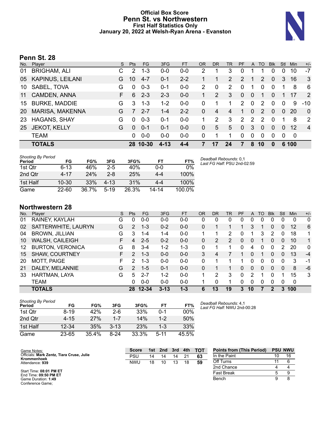### **Official Box Score Penn St. vs Northwestern First Half Statistics Only January 20, 2022 at Welsh-Ryan Arena - Evanston**



### **Penn St. 28**

| No. | Player                  | S. | <b>Pts</b> | FG.      | 3FG      | <b>FT</b> | <b>OR</b>     | D <sub>R</sub> | TR             | <b>PF</b> | $\mathsf{A}$  | TO       | <b>Blk</b> | Stl          | <b>Min</b> | $+/-$          |
|-----|-------------------------|----|------------|----------|----------|-----------|---------------|----------------|----------------|-----------|---------------|----------|------------|--------------|------------|----------------|
| 01  | <b>BRIGHAM, ALI</b>     |    | 2          | $1 - 3$  | $0 - 0$  | $0 - 0$   | 2             |                | 3              | 0         |               |          | 0          | 0            | 10         | $-7$           |
| 05  | <b>KAPINUS, LEILANI</b> | G  | 10         | $4 - 7$  | $0 - 1$  | $2 - 2$   |               |                | $\overline{2}$ | 2         |               | 2        | $\Omega$   | 3            | 16         | -3             |
| 10  | SABEL, TOVA             | G  | $\Omega$   | $0 - 3$  | $0 - 1$  | $0 - 0$   | $\mathcal{P}$ | 0              | 2              | $\Omega$  | 1             | $\Omega$ | 0          | 1            | 8          | 6              |
| 11  | CAMDEN, ANNA            | F. | 6          | $2 - 3$  | $2 - 3$  | $0-0$     | $\mathbf{1}$  | $\overline{2}$ | 3              | 0         | $\mathbf{0}$  |          | 0          |              | 17         | 2              |
| 15  | <b>BURKE, MADDIE</b>    | G  | 3          | $1 - 3$  | $1 - 2$  | $0 - 0$   | 0             |                | 1              | 2         | $\mathbf 0$   | 2        | 0          | $\mathbf{0}$ | 9          | $-10$          |
| 20  | <b>MARISA, MAKENNA</b>  | G  |            | $2 - 7$  | $1 - 4$  | $2 - 2$   | 0             | 4              | 4              | 1         | $\Omega$      | 2        | $\Omega$   | $\Omega$     | 20         | $\mathbf{0}$   |
| 23  | <b>HAGANS, SHAY</b>     | G  | $\Omega$   | $0 - 3$  | $0 - 1$  | $0 - 0$   |               | 2              | 3              | 2         | $\mathcal{P}$ | 2        | 0          | 1            | 8          | $\overline{2}$ |
| 25  | <b>JEKOT, KELLY</b>     | G  | $\Omega$   | $0 - 1$  | $0 - 1$  | $0 - 0$   | $\Omega$      | 5              | 5              | $\Omega$  | 3             | $\Omega$ | $\Omega$   | $\Omega$     | 12         | $\overline{4}$ |
|     | <b>TEAM</b>             |    | 0          | $0 - 0$  | $0-0$    | $0-0$     | $\Omega$      | 1              | 1              | $\Omega$  | $\mathbf 0$   | $\Omega$ | 0          | 0            | 0          |                |
|     | <b>TOTALS</b>           |    |            | 28 10-30 | $4 - 13$ | $4 - 4$   |               | 17             | 24             | 7         | 8             | 10       | $\bf{0}$   |              | 6 100      |                |

| <b>Shooting By Period</b> |           |       |           |       |         |        |
|---------------------------|-----------|-------|-----------|-------|---------|--------|
| Period                    | FG        | FG%   | 3FG       | 3FG%  | FT      | FT%    |
| 1st Otr                   | $6 - 13$  | 46%   | 2-5       | 40%   | $0 - 0$ | 0%     |
| 2nd Qtr                   | $4 - 17$  | 24%   | $2 - 8$   | 25%   | $4 - 4$ | 100%   |
| 1st Half                  | $10 - 30$ | 33%   | $4 - 1.3$ | 31%   | $4 - 4$ | 100%   |
| Game                      | $22 - 60$ | 36.7% | $5-19$    | 26.3% | 14-14   | 100.0% |

*Deadball Rebounds:* 0,1 *Last FG Half:* PSU 2nd-02:59

### **Northwestern 28**

| No. | Plaver                  | S. | <b>Pts</b>     | <b>FG</b> | 3FG      | <b>FT</b> | <b>OR</b> | DR       | TR | PF       | A  | TO       | <b>B</b> lk | Stl      | Min | $+/-$        |
|-----|-------------------------|----|----------------|-----------|----------|-----------|-----------|----------|----|----------|----|----------|-------------|----------|-----|--------------|
| 01  | RAINEY, KAYLAH          | G  | 0              | 0-0       | $0 - 0$  | $0 - 0$   | 0         | 0        | 0  | 0        | 0  | 0        | 0           | 0        | 0   | $\mathbf 0$  |
| 02  | SATTERWHITE, LAURYN     | G  | $\overline{2}$ | $1 - 3$   | $0 - 2$  | $0 - 0$   | 0         |          |    |          | 3  | 1        | 0           | 0        | 12  | 6            |
| 04  | <b>BROWN, JILLIAN</b>   | G  | 3              | 1-4       | 1-4      | $0 - 0$   |           |          |    | 0        |    | 3        | 2           | 0        | 18  | 1            |
| 10  | WALSH, CAILEIGH         | F. | $\overline{4}$ | $2 - 5$   | $0 - 2$  | $0 - 0$   | 0         | 2        | 2  | 0        | 0  |          | 0           | $\Omega$ | 10  | $\mathbf{1}$ |
| 12  | <b>BURTON, VERONICA</b> | G  | 8              | $3 - 4$   | $1 - 2$  | $1 - 3$   | 0         |          |    | $\Omega$ | 4  | 0        | 0           | 2        | 20  | $\mathbf{0}$ |
| 15  | <b>SHAW, COURTNEY</b>   | F. | $\mathcal{P}$  | $1 - 3$   | $0 - 0$  | $0 - 0$   | 3         | 4        |    |          | 0  | 1        | 0           | 0        | 13  | $-4$         |
| 20  | <b>MOTT, PAIGE</b>      | F  | 2              | 1-3       | $0 - 0$  | $0 - 0$   | 0         |          |    |          | 0  | 0        | 0           | $\Omega$ | 3   | -1           |
| 21  | DALEY, MELANNIE         | G  | 2              | $1 - 5$   | $0 - 1$  | $0 - 0$   | 0         |          |    | 0        | 0  | $\Omega$ | 0           | 0        | 8   | -6           |
| 33  | HARTMAN, LAYA           | G  | 5.             | $2 - 7$   | $1 - 2$  | $0 - 0$   |           | 2        | 3  | $\Omega$ | 2  |          | 0           |          | 15  | 3            |
|     | <b>TEAM</b>             |    | 0              | $0 - 0$   | $0 - 0$  | $0 - 0$   |           | $\Omega$ |    | 0        | 0  | 0        | 0           | $\Omega$ | 0   |              |
|     | <b>TOTALS</b>           |    |                | 28 12-34  | $3 - 13$ | $1 - 3$   | 6         | 13       | 19 | 3        | 10 | 7        | 2           | 3        | 100 |              |

| <b>Shooting By Period</b> |          |       |         |       |          |       |
|---------------------------|----------|-------|---------|-------|----------|-------|
| Period                    | FG       | FG%   | 3FG     | 3FG%  | FT       | FT%   |
| 1st Otr                   | $8 - 19$ | 42%   | $2-6$   | 33%   | 0-1      | 00%   |
| 2nd Qtr                   | $4 - 15$ | 27%   | $1 - 7$ | 14%   | $1 - 2$  | 50%   |
| 1st Half                  | 12-34    | 35%   | $3-13$  | 23%   | $1 - 3$  | 33%   |
| Game                      | 23-65    | 35.4% | 8-24    | 33.3% | $5 - 11$ | 45.5% |

*Deadball Rebounds:* 4,1 *Last FG Half:* NWU 2nd-00:28

| Game Notes:                                              | <b>Score</b> | 1st l | 2nd | 3rd | 4th            | <b>TOT</b> | <b>Points from (This Period)</b> |    | <b>PSU NWU</b> |
|----------------------------------------------------------|--------------|-------|-----|-----|----------------|------------|----------------------------------|----|----------------|
| Officials: Mark Zentz, Tiara Cruse, Julie<br>Krommenhoek | <b>PSU</b>   | 14    | 14  | 14  | 2 <sup>1</sup> | 63         | In the Paint                     | 10 | 16             |
| Attendance: 939                                          | <b>NWU</b>   | 18    | 10  | 13  | 18             | 59         | Off Turns                        |    |                |
|                                                          |              |       |     |     |                |            | 2nd Chance                       |    |                |
| Start Time: 08:01 PM ET<br>End Time: 09:50 PM ET         |              |       |     |     |                |            | <b>Fast Break</b>                |    |                |
| Game Duration: 1:49<br>Conference Game:                  |              |       |     |     |                |            | Bench                            |    | 8              |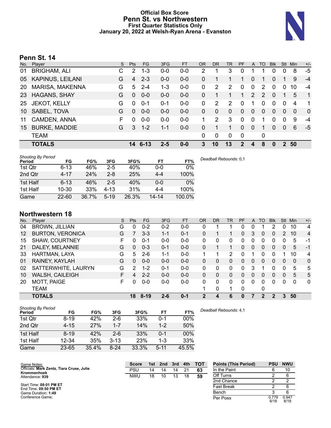### **Official Box Score Penn St. vs Northwestern First Quarter Statistics Only January 20, 2022 at Welsh-Ryan Arena - Evanston**



### **Penn St. 14**

| No. | Player                  | S. | Pts      | FG.     | 3FG     | <b>FT</b> | <b>OR</b> | D <sub>R</sub> | TR             | PF       | A              | TO | <b>Blk</b> | Stl          | <b>Min</b> | $+/-$        |
|-----|-------------------------|----|----------|---------|---------|-----------|-----------|----------------|----------------|----------|----------------|----|------------|--------------|------------|--------------|
| 01  | <b>BRIGHAM, ALI</b>     | C  | 2        | $1 - 3$ | $0 - 0$ | $0-0$     | 2         |                | 3              | 0        |                |    | 0          | $\Omega$     | 8          | -5           |
| 05  | <b>KAPINUS, LEILANI</b> | G  | 4        | $2 - 3$ | $0-0$   | $0-0$     | 0         | 1              |                | 1        | $\Omega$       | 1  | 0          |              | 9          | $-4$         |
| 20  | <b>MARISA, MAKENNA</b>  | G  | 5        | $2 - 4$ | $1 - 3$ | $0 - 0$   | 0         | 2              | 2              | 0        | $\mathbf 0$    | 2  | $\Omega$   | $\Omega$     | 10         | $-4$         |
| 23  | <b>HAGANS, SHAY</b>     | G  | $\Omega$ | $0 - 0$ | $0 - 0$ | $0 - 0$   | 0         | 1              |                | 1        | 2              | 2  | $\Omega$   |              | 5          | $\mathbf{1}$ |
| 25  | <b>JEKOT, KELLY</b>     | G  | $\Omega$ | $0 - 1$ | $0 - 1$ | $0-0$     | 0         | 2              | $\overline{2}$ | $\Omega$ |                | 0  | 0          | $\mathbf{0}$ | 4          | 1            |
| 10  | SABEL, TOVA             | G  | $\Omega$ | $0 - 0$ | $0 - 0$ | $0 - 0$   | 0         | $\Omega$       | $\mathbf{0}$   | 0        | $\Omega$       | 0  | $\Omega$   | $\Omega$     | $\Omega$   | $\mathbf 0$  |
| 11  | CAMDEN, ANNA            | F  | 0        | $0-0$   | $0-0$   | $0-0$     |           | 2              | 3              | 0        | $\Omega$       | 1  | $\Omega$   | $\Omega$     | 9          | -4           |
| 15  | <b>BURKE, MADDIE</b>    | G  | 3        | $1 - 2$ | $1 - 1$ | $0 - 0$   | 0         |                | 1              | 0        | $\overline{0}$ | 1  | $\Omega$   | $\Omega$     | 6          | -5           |
|     | <b>TEAM</b>             |    |          |         |         |           | 0         | $\Omega$       | $\Omega$       | 0        |                | 0  |            |              |            |              |
|     | <b>TOTALS</b>           |    |          | 14 6-13 | $2 - 5$ | $0 - 0$   | 3         | 10             | 13             | 2        | 4              | 8  | 0          | $2^{\circ}$  | 50         |              |
|     |                         |    |          |         |         |           |           |                |                |          |                |    |            |              |            |              |

| <b>Shooting By Period</b><br>Period | FG        | FG%   | 3FG      | 3FG%  | <b>FT</b> | FT%    | Deadball Rebounds: 0,1 |
|-------------------------------------|-----------|-------|----------|-------|-----------|--------|------------------------|
| 1st Qtr                             | $6 - 13$  | 46%   | $2 - 5$  | 40%   | $0 - 0$   | 0%     |                        |
| 2nd Qtr                             | $4 - 17$  | 24%   | $2 - 8$  | 25%   | $4 - 4$   | 100%   |                        |
| 1st Half                            | $6 - 13$  | 46%   | $2-5$    | 40%   | $0 - 0$   | 0%     |                        |
| 1st Half                            | $10 - 30$ | 33%   | $4 - 13$ | 31%   | 4-4       | 100%   |                        |
| Game                                | $22 - 60$ | 36.7% | $5 - 19$ | 26.3% | 14-14     | 100.0% |                        |

### **Northwestern 18**

| No. | Plaver                  | S  | Pts           | FG       | 3FG     | <b>FT</b> | <b>OR</b> | <b>DR</b> | TR | PF       | A | <b>TO</b> | <b>Blk</b> | <b>Stl</b> | Min      | $+/-$          |
|-----|-------------------------|----|---------------|----------|---------|-----------|-----------|-----------|----|----------|---|-----------|------------|------------|----------|----------------|
| 04  | <b>BROWN, JILLIAN</b>   | G  | 0             | $0 - 2$  | $0 - 2$ | $0-0$     | 0         |           |    | 0        | 0 |           | 2          | 0          | 10       | 4              |
| 12  | <b>BURTON, VERONICA</b> | G  |               | $3 - 3$  | $1 - 1$ | $0 - 1$   | 0         |           | 1  | 0        | 3 | $\Omega$  | 0          | 2          | 10       | $\overline{4}$ |
| 15  | SHAW, COURTNEY          | F. | 0             | $0 - 1$  | 0-0     | $0-0$     | $\Omega$  | 0         | 0  | $\Omega$ | 0 | 0         | 0          | 0          | 5        | $-1$           |
| 21  | DALEY, MELANNIE         | G  | 0             | $0 - 3$  | $0 - 1$ | $0 - 0$   | 0         | 1         | 1  | 0        | 0 | 0         | 0          | 0          | 5        | $-1$           |
| 33  | HARTMAN, LAYA           | G  | 5             | $2-6$    | $1 - 1$ | $0-0$     |           |           | 2  | 0        |   | 0         | O          |            | 10       | 4              |
| 01  | RAINEY, KAYLAH          | G  | 0             | $0 - 0$  | $0 - 0$ | $0 - 0$   | 0         | 0         | 0  | 0        | 0 | 0         | 0          | 0          | $\Omega$ | $\mathbf 0$    |
| 02  | SATTERWHITE, LAURYN     | G  | $\mathcal{P}$ | $1 - 2$  | $0 - 1$ | $0 - 0$   | 0         | 0         | 0  | $\Omega$ | 3 |           | 0          | 0          | 5        | 5              |
| 10  | WALSH, CAILEIGH         | F. | 4             | $2 - 2$  | $0 - 0$ | $0 - 0$   | 0         | 0         | 0  | $\Omega$ | 0 | 0         | 0          | 0          | 5        | 5              |
| 20  | MOTT, PAIGE             | F. | $\Omega$      | $0 - 0$  | $0 - 0$ | $0 - 0$   | $\Omega$  | 0         | 0  | $\Omega$ | 0 | 0         | 0          | 0          | $\Omega$ | $\mathbf{0}$   |
|     | TEAM                    |    |               |          |         |           |           | 0         | 1  | $\Omega$ |   | 0         |            |            |          |                |
|     | <b>TOTALS</b>           |    | 18            | $8 - 19$ | $2 - 6$ | $0 - 1$   | 2         | 4         | 6  | 0        | 7 | 2         | 2          | 3          | 50       |                |

| <b>Shooting By Period</b><br>Period | FG        | FG%   | 3FG      | 3FG%  | FT       | FT%   | Deadball Rebounds: 4,1 |
|-------------------------------------|-----------|-------|----------|-------|----------|-------|------------------------|
| 1st Qtr                             | $8 - 19$  | 42%   | $2-6$    | 33%   | 0-1      | 00%   |                        |
| 2nd Qtr                             | $4 - 15$  | 27%   | $1 - 7$  | 14%   | $1 - 2$  | 50%   |                        |
| 1st Half                            | $8 - 19$  | 42%   | $2-6$    | 33%   | 0-1      | 00%   |                        |
| 1st Half                            | 12-34     | 35%   | $3 - 13$ | 23%   | 1-3      | 33%   |                        |
| Game                                | $23 - 65$ | 35.4% | $8 - 24$ | 33.3% | $5 - 11$ | 45.5% |                        |

| Game Notes:                                              | <b>Score</b> |    | 1st 2nd | 3rd | 4th | <b>TOT</b> | <b>Points (This Period)</b> | <b>PSU</b>    | <b>NWU</b>    |
|----------------------------------------------------------|--------------|----|---------|-----|-----|------------|-----------------------------|---------------|---------------|
| Officials: Mark Zentz, Tiara Cruse, Julie<br>Krommenhoek | PSU          | 14 | 14      | 14  | 21  | 63         | In the Paint                |               | 10            |
| Attendance: 939                                          | <b>NWU</b>   | 18 | 10      | 13  | 18  | 59         | Off Turns                   |               |               |
|                                                          |              |    |         |     |     |            | 2nd Chance                  |               |               |
| Start Time: 08:01 PM ET<br>End Time: 09:50 PM ET         |              |    |         |     |     |            | <b>Fast Break</b>           |               |               |
| Game Duration: 1:49                                      |              |    |         |     |     |            | Bench                       |               | 6             |
| Conference Game:                                         |              |    |         |     |     |            | Per Poss                    | 0.778<br>6/18 | 0.947<br>8/19 |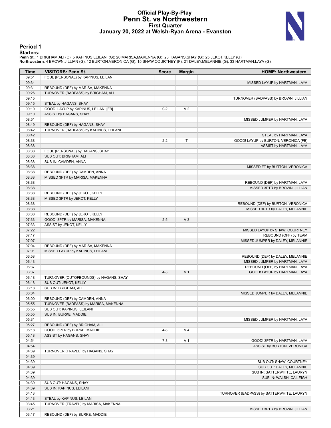### **Official Play-By-Play Penn St. vs Northwestern First Quarter January 20, 2022 at Welsh-Ryan Arena - Evanston**



### **Period 1**

<mark>Startersː</mark><br>Penn St.: 1 BRIGHAM,ALI (C); 5 KAPINUS,LEILANI (G); 20 MARISA,MAKENNA (G); 23 HAGANS,SHAY (G); 25 JEKOT,KELLY (G);<br>**Northwestern**: 4 BROWN,JILLIAN (G); 12 BURTON,VERONICA (G); 15 SHAW,COURTNEY (F); 21 DALEY,MEL

| Time           | <b>VISITORS: Penn St.</b>                                     | <b>Score</b> | <b>Margin</b>  | <b>HOME: Northwestern</b>                                 |
|----------------|---------------------------------------------------------------|--------------|----------------|-----------------------------------------------------------|
| 09:51          | FOUL (PERSONAL) by KAPINUS, LEILANI                           |              |                |                                                           |
| 09:34          |                                                               |              |                | MISSED LAYUP by HARTMAN, LAYA                             |
| 09:31          | REBOUND (DEF) by MARISA, MAKENNA                              |              |                |                                                           |
| 09:26          | TURNOVER (BADPASS) by BRIGHAM, ALI                            |              |                |                                                           |
| 09:15          |                                                               |              |                | TURNOVER (BADPASS) by BROWN, JILLIAN                      |
| 09:15<br>09:10 | STEAL by HAGANS, SHAY<br>GOOD! LAYUP by KAPINUS, LEILANI [FB] | $0 - 2$      | V <sub>2</sub> |                                                           |
| 09:10          | ASSIST by HAGANS, SHAY                                        |              |                |                                                           |
| 08:51          |                                                               |              |                | MISSED JUMPER by HARTMAN, LAYA                            |
| 08:49          | REBOUND (DEF) by HAGANS, SHAY                                 |              |                |                                                           |
| 08:42          | TURNOVER (BADPASS) by KAPINUS, LEILANI                        |              |                |                                                           |
| 08:42          |                                                               |              |                | STEAL by HARTMAN, LAYA                                    |
| 08:38          |                                                               | $2 - 2$      | T              | GOOD! LAYUP by BURTON, VERONICA [FB]                      |
| 08:38          |                                                               |              |                | ASSIST by HARTMAN, LAYA                                   |
| 08:38          | FOUL (PERSONAL) by HAGANS, SHAY                               |              |                |                                                           |
| 08:38          | SUB OUT: BRIGHAM, ALI                                         |              |                |                                                           |
| 08:38          | SUB IN: CAMDEN, ANNA                                          |              |                |                                                           |
| 08:38<br>08:38 | REBOUND (DEF) by CAMDEN, ANNA                                 |              |                | MISSED FT by BURTON, VERONICA                             |
| 08:38          | MISSED 3PTR by MARISA, MAKENNA                                |              |                |                                                           |
| 08:38          |                                                               |              |                | REBOUND (DEF) by HARTMAN, LAYA                            |
| 08:38          |                                                               |              |                | MISSED 3PTR by BROWN, JILLIAN                             |
| 08:38          | REBOUND (DEF) by JEKOT, KELLY                                 |              |                |                                                           |
| 08:38          | MISSED 3PTR by JEKOT, KELLY                                   |              |                |                                                           |
| 08:38          |                                                               |              |                | REBOUND (DEF) by BURTON, VERONICA                         |
| 08:38          |                                                               |              |                | MISSED 3PTR by DALEY, MELANNIE                            |
| 08:38          | REBOUND (DEF) by JEKOT, KELLY                                 |              |                |                                                           |
| 07:33          | GOOD! 3PTR by MARISA, MAKENNA                                 | $2 - 5$      | $V_3$          |                                                           |
| 07:33          | ASSIST by JEKOT, KELLY                                        |              |                |                                                           |
| 07:22          |                                                               |              |                | MISSED LAYUP by SHAW, COURTNEY                            |
| 07:17<br>07:07 |                                                               |              |                | REBOUND (OFF) by TEAM<br>MISSED JUMPER by DALEY, MELANNIE |
| 07:04          | REBOUND (DEF) by MARISA, MAKENNA                              |              |                |                                                           |
| 07:01          | MISSED LAYUP by KAPINUS, LEILANI                              |              |                |                                                           |
| 06:58          |                                                               |              |                | REBOUND (DEF) by DALEY, MELANNIE                          |
| 06:43          |                                                               |              |                | MISSED JUMPER by HARTMAN, LAYA                            |
| 06:37          |                                                               |              |                | REBOUND (OFF) by HARTMAN, LAYA                            |
| 06:37          |                                                               | $4 - 5$      | V <sub>1</sub> | GOOD! LAYUP by HARTMAN, LAYA                              |
| 06:18          | TURNOVER (OUTOFBOUNDS) by HAGANS, SHAY                        |              |                |                                                           |
| 06:18          | SUB OUT: JEKOT, KELLY                                         |              |                |                                                           |
| 06:18          | SUB IN: BRIGHAM, ALI                                          |              |                |                                                           |
| 06:04<br>06:00 | REBOUND (DEF) by CAMDEN, ANNA                                 |              |                | MISSED JUMPER by DALEY, MELANNIE                          |
| 05:55          | TURNOVER (BADPASS) by MARISA, MAKENNA                         |              |                |                                                           |
| 05:55          | SUB OUT: KAPINUS, LEILANI                                     |              |                |                                                           |
| 05:55          | SUB IN: BURKE, MADDIE                                         |              |                |                                                           |
| 05:31          |                                                               |              |                | MISSED JUMPER by HARTMAN, LAYA                            |
| 05:27          | REBOUND (DEF) by BRIGHAM, ALI                                 |              |                |                                                           |
| 05:18          | GOOD! 3PTR by BURKE, MADDIE                                   | $4 - 8$      | V <sub>4</sub> |                                                           |
| 05:18          | ASSIST by HAGANS, SHAY                                        |              |                |                                                           |
| 04:54          |                                                               | $7 - 8$      | V <sub>1</sub> | GOOD! 3PTR by HARTMAN, LAYA                               |
| 04:54          |                                                               |              |                | ASSIST by BURTON, VERONICA                                |
| 04:39          | TURNOVER (TRAVEL) by HAGANS, SHAY                             |              |                |                                                           |
| 04:39          |                                                               |              |                |                                                           |
| 04:39<br>04:39 |                                                               |              |                | SUB OUT: SHAW, COURTNEY<br>SUB OUT: DALEY, MELANNIE       |
| 04:39          |                                                               |              |                | SUB IN: SATTERWHITE, LAURYN                               |
| 04:39          |                                                               |              |                | SUB IN: WALSH, CAILEIGH                                   |
| 04:39          | SUB OUT: HAGANS, SHAY                                         |              |                |                                                           |
| 04:39          | SUB IN: KAPINUS, LEILANI                                      |              |                |                                                           |
| 04:13          |                                                               |              |                | TURNOVER (BADPASS) by SATTERWHITE, LAURYN                 |
| 04:13          | STEAL by KAPINUS, LEILANI                                     |              |                |                                                           |
| 03:45          | TURNOVER (TRAVEL) by MARISA, MAKENNA                          |              |                |                                                           |
| 03:21          |                                                               |              |                | MISSED 3PTR by BROWN, JILLIAN                             |
| 03:17          | REBOUND (DEF) by BURKE, MADDIE                                |              |                |                                                           |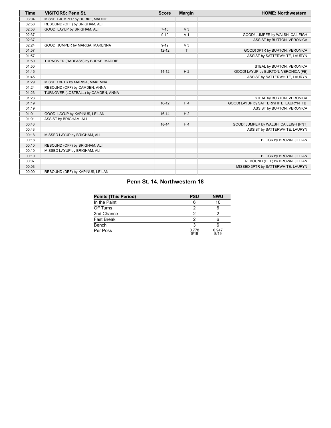| <b>Time</b> | <b>VISITORS: Penn St.</b>           | <b>Score</b> | <b>Margin</b>  | <b>HOME: Northwestern</b>               |
|-------------|-------------------------------------|--------------|----------------|-----------------------------------------|
| 03:04       | MISSED JUMPER by BURKE, MADDIE      |              |                |                                         |
| 02:58       | REBOUND (OFF) by BRIGHAM, ALI       |              |                |                                         |
| 02:58       | GOOD! LAYUP by BRIGHAM, ALI         | $7 - 10$     | V <sub>3</sub> |                                         |
| 02:37       |                                     | $9 - 10$     | V <sub>1</sub> | GOOD! JUMPER by WALSH, CAILEIGH         |
| 02:37       |                                     |              |                | ASSIST by BURTON, VERONICA              |
| 02:24       | GOOD! JUMPER by MARISA, MAKENNA     | $9 - 12$     | $V_3$          |                                         |
| 01:57       |                                     | $12 - 12$    | T.             | GOOD! 3PTR by BURTON, VERONICA          |
| 01:57       |                                     |              |                | ASSIST by SATTERWHITE, LAURYN           |
| 01:50       | TURNOVER (BADPASS) by BURKE, MADDIE |              |                |                                         |
| 01:50       |                                     |              |                | STEAL by BURTON, VERONICA               |
| 01:45       |                                     | $14-12$      | H <sub>2</sub> | GOOD! LAYUP by BURTON, VERONICA [FB]    |
| 01:45       |                                     |              |                | ASSIST by SATTERWHITE, LAURYN           |
| 01:29       | MISSED 3PTR by MARISA, MAKENNA      |              |                |                                         |
| 01:24       | REBOUND (OFF) by CAMDEN, ANNA       |              |                |                                         |
| 01:23       | TURNOVER (LOSTBALL) by CAMDEN, ANNA |              |                |                                         |
| 01:23       |                                     |              |                | STEAL by BURTON, VERONICA               |
| 01:19       |                                     | $16-12$      | H <sub>4</sub> | GOOD! LAYUP by SATTERWHITE, LAURYN [FB] |
| 01:19       |                                     |              |                | ASSIST by BURTON, VERONICA              |
| 01:01       | GOOD! LAYUP by KAPINUS, LEILANI     | $16-14$      | H <sub>2</sub> |                                         |
| 01:01       | ASSIST by BRIGHAM, ALI              |              |                |                                         |
| 00:43       |                                     | $18 - 14$    | H <sub>4</sub> | GOOD! JUMPER by WALSH, CAILEIGH [PNT]   |
| 00:43       |                                     |              |                | ASSIST by SATTERWHITE, LAURYN           |
| 00:18       | MISSED LAYUP by BRIGHAM, ALI        |              |                |                                         |
| 00:18       |                                     |              |                | BLOCK by BROWN, JILLIAN                 |
| 00:10       | REBOUND (OFF) by BRIGHAM, ALI       |              |                |                                         |
| 00:10       | MISSED LAYUP by BRIGHAM, ALI        |              |                |                                         |
| 00:10       |                                     |              |                | BLOCK by BROWN, JILLIAN                 |
| 00:07       |                                     |              |                | REBOUND (DEF) by BROWN, JILLIAN         |
| 00:03       |                                     |              |                | MISSED 3PTR by SATTERWHITE, LAURYN      |
| 00:00       | REBOUND (DEF) by KAPINUS, LEILANI   |              |                |                                         |

### **Penn St. 14, Northwestern 18**

| <b>Points (This Period)</b> | <b>PSU</b>    | <b>NWU</b>    |
|-----------------------------|---------------|---------------|
| In the Paint                |               | 10            |
| Off Turns                   |               |               |
| 2nd Chance                  |               |               |
| Fast Break                  |               |               |
| Bench                       |               |               |
| Per Poss                    | 0.778<br>6/18 | 0.947<br>8/19 |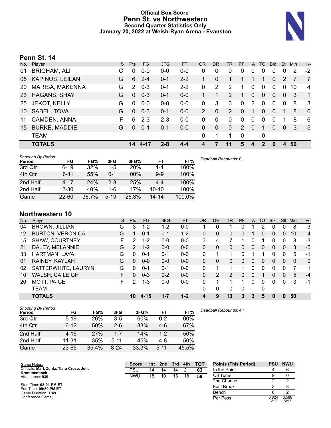### **Official Box Score Penn St. vs Northwestern Second Quarter Statistics Only January 20, 2022 at Welsh-Ryan Arena - Evanston**



### **Penn St. 14**

|    | Player                  | S. | <b>Pts</b> | FG.     | 3FG     | <b>FT</b> | <b>OR</b> | D <sub>R</sub> | TR             | PF            | A        | TO       | <b>B</b> lk  | Stl            | <b>Min</b> | $+/-$          |
|----|-------------------------|----|------------|---------|---------|-----------|-----------|----------------|----------------|---------------|----------|----------|--------------|----------------|------------|----------------|
| 01 | <b>BRIGHAM, ALI</b>     | С  | 0          | $0 - 0$ | $0 - 0$ | $0 - 0$   | 0         | 0              | 0              | 0             | 0        | 0        | 0            | 0              | 2          | $-2$           |
| 05 | <b>KAPINUS, LEILANI</b> | G  | 6          | $2 - 4$ | $0 - 1$ | $2 - 2$   |           | 0              | 1.             |               |          | 1        | $\Omega$     | 2              |            | $\overline{7}$ |
| 20 | MARISA, MAKENNA         | G  | 2          | $0 - 3$ | $0 - 1$ | $2 - 2$   | 0         | 2              | 2              | 1             | $\Omega$ | 0        | $\Omega$     | $\Omega$       | 10         | 4              |
| 23 | <b>HAGANS, SHAY</b>     | G  | $\Omega$   | $0 - 3$ | $0 - 1$ | $0 - 0$   |           | 1              | $\overline{2}$ | 1             | $\Omega$ | $\Omega$ | $\Omega$     | $\Omega$       | 3          | $\mathbf{1}$   |
| 25 | <b>JEKOT, KELLY</b>     | G  | $\Omega$   | $0 - 0$ | $0-0$   | $0-0$     | 0         | 3              | 3              | 0             | 2        | 0        | 0            | $\mathbf{0}$   | 8          | -3             |
| 10 | SABEL, TOVA             | G  | $\Omega$   | $0 - 3$ | $0 - 1$ | $0 - 0$   | 2         | $\Omega$       | $\overline{2}$ | 0             | 1        | $\Omega$ | $\mathbf{0}$ | 1              | 8          | 6              |
| 11 | CAMDEN, ANNA            | F  | 6          | $2 - 3$ | $2 - 3$ | $0-0$     | 0         | 0              | 0              | 0             | $\Omega$ | $\Omega$ | $\Omega$     |                | 8          | 6              |
| 15 | <b>BURKE, MADDIE</b>    | G  | $\Omega$   | $0 - 1$ | $0 - 1$ | $0 - 0$   | 0         | $\Omega$       | $\mathbf{0}$   | $\mathcal{P}$ | $\Omega$ | 1        | $\Omega$     | 0              | 3          | $-5$           |
|    | <b>TEAM</b>             |    |            |         |         |           | 0         | 1              | 1              | 0             |          | 0        |              |                |            |                |
|    | <b>TOTALS</b>           |    | 14         | 4-17    | $2 - 8$ | 4-4       |           | 7              | 11             | 5             | 4        | 2        | 0            | $\overline{4}$ | 50         |                |

| <b>Shooting By Period</b><br>Period | FG        | FG%   | 3FG      | 3FG%       | FT.       | FT%    |
|-------------------------------------|-----------|-------|----------|------------|-----------|--------|
| 3rd Qtr                             | $6 - 19$  | 32%   | $1-5$    | <b>20%</b> | 1-1       | 100%   |
| 4th Qtr                             | $6 - 11$  | 55%   | $0 - 1$  | 00%        | $9 - 9$   | 100%   |
| 2nd Half                            | $4 - 17$  | 24%   | $2 - 8$  | 25%        | $4 - 4$   | 100%   |
| 2nd Half                            | $12 - 30$ | 40%   | 1-6      | 17%        | $10 - 10$ | 100%   |
| Game                                | $22 - 60$ | 36.7% | $5 - 19$ | 26.3%      | $14 - 14$ | 100.0% |

### **Northwestern 10**

| No.     | Player                  | S  | <b>Pts</b>     | <b>FG</b> | 3FG     | <b>FT</b> | <b>OR</b> | <b>DR</b> | TR       | PF       | A | TO | <b>Blk</b> | Stl      | Min          | $+/-$        |
|---------|-------------------------|----|----------------|-----------|---------|-----------|-----------|-----------|----------|----------|---|----|------------|----------|--------------|--------------|
| 04      | <b>BROWN, JILLIAN</b>   | G  | 3              | $1 - 2$   | $1 - 2$ | $0-0$     |           | 0         |          | 0        |   | 2  | 0          | 0        | 8            | $-3$         |
| $12 \,$ | <b>BURTON, VERONICA</b> | G  |                | $0 - 1$   | $0 - 1$ | $1 - 2$   | 0         | 0         | 0        | $\Omega$ |   | 0  | 0          | 0        | 10           | $-4$         |
| 15      | <b>SHAW, COURTNEY</b>   | F  | 2              | $1 - 2$   | $0 - 0$ | $0 - 0$   | 3         | 4         |          |          | 0 |    | 0          | 0        | 8            | -3           |
| 21      | DALEY, MELANNIE         | G  | $\overline{2}$ | $1 - 2$   | $0 - 0$ | $0 - 0$   | 0         | 0         | 0        | 0        | 0 | 0  | 0          | 0        | 3            | $-5$         |
| 33      | HARTMAN, LAYA           | G  | 0              | $0 - 1$   | $0 - 1$ | $0 - 0$   | 0         | 4         |          | U        |   |    | O          | 0        | 5            | -1           |
| 01      | RAINEY, KAYLAH          | G  | 0              | $0 - 0$   | $0 - 0$ | $0 - 0$   | 0         | 0         | 0        | 0        | 0 | 0  | 0          | 0        | $\mathbf{0}$ | $\mathbf{0}$ |
| 02      | SATTERWHITE, LAURYN     | G  | 0              | $0 - 1$   | $0 - 1$ | $0 - 0$   | 0         | ٠         |          |          | 0 | 0  | 0          | 0        | 7            |              |
| 10      | WALSH, CAILEIGH         | F. | 0              | $0 - 3$   | $0 - 2$ | $0 - 0$   | 0         | 2         | 2        | 0        | 0 |    | 0          | 0        | 5            | $-4$         |
| 20      | <b>MOTT, PAIGE</b>      | F  | 2              | $1 - 3$   | $0 - 0$ | $0-0$     | 0         | 4         |          | 1        | 0 | 0  | 0          | 0        | 3            | -1           |
|         | <b>TEAM</b>             |    |                |           |         |           | 0         | 0         | $\Omega$ | $\Omega$ |   | 0  |            |          |              |              |
|         | <b>TOTALS</b>           |    | 10             | $4 - 15$  | $1 - 7$ | $1 - 2$   |           | 9         | 13       | 3        | 3 | 5  |            | $\Omega$ | 50           |              |

| <b>Shooting By Period</b><br>Period | FG        | FG%   | 3FG      | 3FG%  | FT       | FT%   | Deadball Rebounds: 4,1 |
|-------------------------------------|-----------|-------|----------|-------|----------|-------|------------------------|
| 3rd Qtr                             | $5 - 19$  | 26%   | 3-5      | 60%   | $0 - 2$  | 00%   |                        |
| 4th Qtr                             | $6 - 12$  | 50%   | $2 - 6$  | 33%   | $4-6$    | 67%   |                        |
| 2nd Half                            | $4 - 15$  | 27%   | $1 - 7$  | 14%   | $1 - 2$  | 50%   |                        |
| 2nd Half                            | $11 - 31$ | 35%   | $5 - 11$ | 45%   | $4-8$    | 50%   |                        |
| Game                                | $23 - 65$ | 35.4% | $8-24$   | 33.3% | $5 - 11$ | 45.5% |                        |

| Game Notes:                                              | <b>Score</b> | 1st | 2nd | 3rd | 4th | <b>TOT</b> | <b>Points (This Period)</b> | <b>PSU</b>    | <b>NWU</b>    |
|----------------------------------------------------------|--------------|-----|-----|-----|-----|------------|-----------------------------|---------------|---------------|
| Officials: Mark Zentz, Tiara Cruse, Julie<br>Krommenhoek | <b>PSU</b>   | 14  | 14  | 14  | 21  | 63         | In the Paint                |               |               |
| Attendance: 939                                          | <b>NWU</b>   | 18  | 10  | 13  | 18  | 59         | Off Turns                   |               |               |
|                                                          |              |     |     |     |     |            | 2nd Chance                  |               |               |
| Start Time: 08:01 PM ET<br>End Time: 09:50 PM ET         |              |     |     |     |     |            | <b>Fast Break</b>           |               |               |
| Game Duration: 1:49                                      |              |     |     |     |     |            | Bench                       |               |               |
| Conference Game:                                         |              |     |     |     |     |            | Per Poss                    | 0.824<br>6/17 | 0.588<br>5/17 |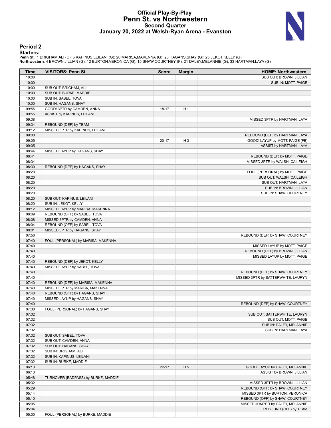### **Official Play-By-Play Penn St. vs Northwestern Second Quarter January 20, 2022 at Welsh-Ryan Arena - Evanston**



### **Period 2**

<mark>Startersː</mark><br>Penn St.: 1 BRIGHAM,ALI (C); 5 KAPINUS,LEILANI (G); 20 MARISA,MAKENNA (G); 23 HAGANS,SHAY (G); 25 JEKOT,KELLY (G);<br>**Northwestern**: 4 BROWN,JILLIAN (G); 12 BURTON,VERONICA (G); 15 SHAW,COURTNEY (F); 21 DALEY,MEL

| Time           | <b>VISITORS: Penn St.</b>           | <b>Score</b> | <b>Margin</b>  | <b>HOME: Northwestern</b>          |
|----------------|-------------------------------------|--------------|----------------|------------------------------------|
| 10:00          |                                     |              |                | SUB OUT: BROWN, JILLIAN            |
| 10:00          |                                     |              |                | SUB IN: MOTT, PAIGE                |
| 10:00          | SUB OUT: BRIGHAM, ALI               |              |                |                                    |
| 10:00          | SUB OUT: BURKE, MADDIE              |              |                |                                    |
| 10:00          | SUB IN: SABEL, TOVA                 |              |                |                                    |
| 10:00          | SUB IN: HAGANS, SHAY                |              |                |                                    |
| 09:55          | GOOD! 3PTR by CAMDEN, ANNA          | 18-17        | H <sub>1</sub> |                                    |
| 09:55          | ASSIST by KAPINUS, LEILANI          |              |                |                                    |
| 09:38          |                                     |              |                | MISSED 3PTR by HARTMAN, LAYA       |
| 09:34          | REBOUND (DEF) by TEAM               |              |                |                                    |
| 09:12          | MISSED 3PTR by KAPINUS, LEILANI     |              |                |                                    |
| 09:08          |                                     |              |                | REBOUND (DEF) by HARTMAN, LAYA     |
| 09:05<br>09:05 |                                     | $20 - 17$    | H <sub>3</sub> | GOOD! LAYUP by MOTT, PAIGE [FB]    |
| 08:44          | MISSED LAYUP by HAGANS, SHAY        |              |                | ASSIST by HARTMAN, LAYA            |
| 08:41          |                                     |              |                | REBOUND (DEF) by MOTT, PAIGE       |
| 08:34          |                                     |              |                | MISSED 3PTR by WALSH, CAILEIGH     |
| 08:30          | REBOUND (DEF) by HAGANS, SHAY       |              |                |                                    |
| 08:20          |                                     |              |                | FOUL (PERSONAL) by MOTT, PAIGE     |
| 08:20          |                                     |              |                | SUB OUT: WALSH, CAILEIGH           |
| 08:20          |                                     |              |                | SUB OUT: HARTMAN, LAYA             |
| 08:20          |                                     |              |                | SUB IN: BROWN, JILLIAN             |
| 08:20          |                                     |              |                | SUB IN: SHAW, COURTNEY             |
| 08:20          | SUB OUT: KAPINUS, LEILANI           |              |                |                                    |
| 08:20          | SUB IN: JEKOT, KELLY                |              |                |                                    |
| 08:12          | MISSED LAYUP by MARISA, MAKENNA     |              |                |                                    |
| 08:09          | REBOUND (OFF) by SABEL, TOVA        |              |                |                                    |
| 08:08          | MISSED 3PTR by CAMDEN, ANNA         |              |                |                                    |
| 08:04          | REBOUND (OFF) by SABEL, TOVA        |              |                |                                    |
| 08:01          | MISSED 3PTR by HAGANS, SHAY         |              |                |                                    |
| 07:56          |                                     |              |                | REBOUND (DEF) by SHAW, COURTNEY    |
| 07:40          | FOUL (PERSONAL) by MARISA, MAKENNA  |              |                |                                    |
| 07:40          |                                     |              |                | MISSED LAYUP by MOTT, PAIGE        |
| 07:40          |                                     |              |                | REBOUND (OFF) by BROWN, JILLIAN    |
| 07:40          |                                     |              |                | MISSED LAYUP by MOTT, PAIGE        |
| 07:40          | REBOUND (DEF) by JEKOT, KELLY       |              |                |                                    |
| 07:40          | MISSED LAYUP by SABEL, TOVA         |              |                |                                    |
| 07:40          |                                     |              |                | REBOUND (DEF) by SHAW, COURTNEY    |
| 07:40          |                                     |              |                | MISSED 3PTR by SATTERWHITE, LAURYN |
| 07:40          | REBOUND (DEF) by MARISA, MAKENNA    |              |                |                                    |
| 07:40          | MISSED 3PTR by MARISA, MAKENNA      |              |                |                                    |
| 07:40          | REBOUND (OFF) by HAGANS, SHAY       |              |                |                                    |
| 07:40<br>07:40 | MISSED LAYUP by HAGANS, SHAY        |              |                | REBOUND (DEF) by SHAW, COURTNEY    |
| 07:38          | FOUL (PERSONAL) by HAGANS, SHAY     |              |                |                                    |
| 07:32          |                                     |              |                | SUB OUT: SATTERWHITE, LAURYN       |
| 07:32          |                                     |              |                | SUB OUT: MOTT, PAIGE               |
| 07:32          |                                     |              |                | SUB IN: DALEY, MELANNIE            |
| 07:32          |                                     |              |                | SUB IN: HARTMAN, LAYA              |
| 07:32          | SUB OUT: SABEL, TOVA                |              |                |                                    |
| 07:32          | SUB OUT: CAMDEN, ANNA               |              |                |                                    |
| 07:32          | SUB OUT: HAGANS, SHAY               |              |                |                                    |
| 07:32          | SUB IN: BRIGHAM, ALI                |              |                |                                    |
| 07:32          | SUB IN: KAPINUS, LEILANI            |              |                |                                    |
| 07:32          | SUB IN: BURKE, MADDIE               |              |                |                                    |
| 06:13          |                                     | $22 - 17$    | H <sub>5</sub> | GOOD! LAYUP by DALEY, MELANNIE     |
| 06:13          |                                     |              |                | ASSIST by BROWN, JILLIAN           |
| 05:48          | TURNOVER (BADPASS) by BURKE, MADDIE |              |                |                                    |
| 05:32          |                                     |              |                | MISSED 3PTR by BROWN, JILLIAN      |
| 05:29          |                                     |              |                | REBOUND (OFF) by SHAW, COURTNEY    |
| 05:14          |                                     |              |                | MISSED 3PTR by BURTON, VERONICA    |
| 05:10          |                                     |              |                | REBOUND (OFF) by SHAW, COURTNEY    |
| 05:05          |                                     |              |                | MISSED JUMPER by DALEY, MELANNIE   |
| 05:04          |                                     |              |                | REBOUND (OFF) by TEAM              |
| 05:00          | FOUL (PERSONAL) by BURKE, MADDIE    |              |                |                                    |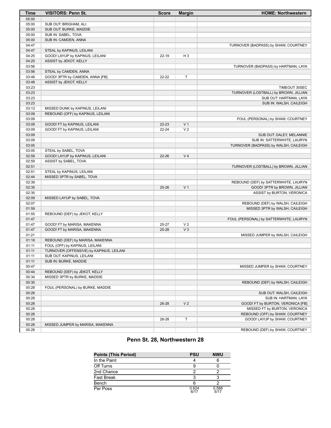| <b>Time</b>    | <b>VISITORS: Penn St.</b>                | <b>Score</b> | <b>Margin</b>                    | <b>HOME: Northwestern</b>              |
|----------------|------------------------------------------|--------------|----------------------------------|----------------------------------------|
| 05:00          |                                          |              |                                  |                                        |
| 05:00          | SUB OUT: BRIGHAM, ALI                    |              |                                  |                                        |
| 05:00          | SUB OUT: BURKE, MADDIE                   |              |                                  |                                        |
| 05:00          | SUB IN: SABEL, TOVA                      |              |                                  |                                        |
| 05:00          | SUB IN: CAMDEN, ANNA                     |              |                                  |                                        |
| 04:47          |                                          |              |                                  | TURNOVER (BADPASS) by SHAW, COURTNEY   |
| 04:47          | STEAL by KAPINUS, LEILANI                |              |                                  |                                        |
| 04:25          | GOOD! LAYUP by KAPINUS, LEILANI          | 22-19        | $H_3$                            |                                        |
| 04:25          | ASSIST by JEKOT, KELLY                   |              |                                  |                                        |
| 03:56          |                                          |              |                                  | TURNOVER (BADPASS) by HARTMAN, LAYA    |
| 03:56          | STEAL by CAMDEN, ANNA                    |              |                                  |                                        |
| 03:48          | GOOD! 3PTR by CAMDEN, ANNA [FB]          | 22-22        | T                                |                                        |
| 03:48          | ASSIST by JEKOT, KELLY                   |              |                                  |                                        |
| 03:23          |                                          |              |                                  | TIMEOUT 30SEC                          |
| 03:23          |                                          |              |                                  | TURNOVER (LOSTBALL) by BROWN, JILLIAN  |
| 03:23          |                                          |              |                                  | SUB OUT: HARTMAN, LAYA                 |
| 03:23          |                                          |              |                                  | SUB IN: WALSH, CAILEIGH                |
| 03:13          | MISSED DUNK by KAPINUS, LEILANI          |              |                                  |                                        |
| 03:09          | REBOUND (OFF) by KAPINUS, LEILANI        |              |                                  |                                        |
| 03:09          |                                          |              |                                  | FOUL (PERSONAL) by SHAW, COURTNEY      |
| 03:09<br>03:09 | GOOD! FT by KAPINUS, LEILANI             | 22-23        | V <sub>1</sub><br>V <sub>2</sub> |                                        |
| 03:09          | GOOD! FT by KAPINUS, LEILANI             | 22-24        |                                  | SUB OUT: DALEY, MELANNIE               |
| 03:09          |                                          |              |                                  | SUB IN: SATTERWHITE, LAURYN            |
| 03:05          |                                          |              |                                  | TURNOVER (BADPASS) by WALSH, CAILEIGH  |
| 03:05          | STEAL by SABEL, TOVA                     |              |                                  |                                        |
| 02:59          | GOOD! LAYUP by KAPINUS, LEILANI          | 22-26        | V <sub>4</sub>                   |                                        |
| 02:59          | ASSIST by SABEL, TOVA                    |              |                                  |                                        |
| 02:51          |                                          |              |                                  | TURNOVER (LOSTBALL) by BROWN, JILLIAN  |
| 02:51          | STEAL by KAPINUS, LEILANI                |              |                                  |                                        |
| 02:44          | MISSED 3PTR by SABEL, TOVA               |              |                                  |                                        |
| 02:39          |                                          |              |                                  | REBOUND (DEF) by SATTERWHITE, LAURYN   |
| 02:35          |                                          | $25 - 26$    | V <sub>1</sub>                   | GOOD! 3PTR by BROWN, JILLIAN           |
| 02:35          |                                          |              |                                  | ASSIST by BURTON, VERONICA             |
| 02:09          | MISSED LAYUP by SABEL, TOVA              |              |                                  |                                        |
| 02:07          |                                          |              |                                  | REBOUND (DEF) by WALSH, CAILEIGH       |
| 01:59          |                                          |              |                                  | MISSED 3PTR by WALSH, CAILEIGH         |
| 01:55          | REBOUND (DEF) by JEKOT, KELLY            |              |                                  |                                        |
| 01:47          |                                          |              |                                  | FOUL (PERSONAL) by SATTERWHITE, LAURYN |
| 01:47          | GOOD! FT by MARISA, MAKENNA              | 25-27        | V <sub>2</sub>                   |                                        |
| 01:47          | GOOD! FT by MARISA, MAKENNA              | $25 - 28$    | V <sub>3</sub>                   |                                        |
| 01:21          |                                          |              |                                  | MISSED JUMPER by WALSH, CAILEIGH       |
| 01:18          | REBOUND (DEF) by MARISA, MAKENNA         |              |                                  |                                        |
| 01:11          | FOUL (OFF) by KAPINUS, LEILANI           |              |                                  |                                        |
| 01:11          | TURNOVER (OFFENSIVE) by KAPINUS, LEILANI |              |                                  |                                        |
| 01:11          | SUB OUT: KAPINUS, LEILANI                |              |                                  |                                        |
| 01:11          | SUB IN: BURKE, MADDIE                    |              |                                  |                                        |
| 00:47          |                                          |              |                                  | MISSED JUMPER by SHAW, COURTNEY        |
| 00:44          | REBOUND (DEF) by JEKOT, KELLY            |              |                                  |                                        |
| 00:34          | MISSED 3PTR by BURKE, MADDIE             |              |                                  |                                        |
| 00:30          |                                          |              |                                  | REBOUND (DEF) by WALSH, CAILEIGH       |
| 00:28          | FOUL (PERSONAL) by BURKE, MADDIE         |              |                                  |                                        |
| 00:28          |                                          |              |                                  | SUB OUT: WALSH, CAILEIGH               |
| 00:28          |                                          |              |                                  | SUB IN: HARTMAN, LAYA                  |
| 00:28          |                                          | 26-28        | V <sub>2</sub>                   | GOOD! FT by BURTON, VERONICA [FB]      |
| 00:28          |                                          |              |                                  | MISSED FT by BURTON, VERONICA          |
| 00:28          |                                          |              |                                  | REBOUND (OFF) by SHAW, COURTNEY        |
| 00:28          |                                          | 28-28        | T                                | GOOD! LAYUP by SHAW, COURTNEY          |
| 00:28          | MISSED JUMPER by MARISA, MAKENNA         |              |                                  |                                        |
| 00:28          |                                          |              |                                  | REBOUND (DEF) by SHAW, COURTNEY        |

### **Penn St. 28, Northwestern 28**

| <b>Points (This Period)</b> | <b>PSU</b>    | <b>NWU</b>    |
|-----------------------------|---------------|---------------|
| In the Paint                |               |               |
| Off Turns                   |               |               |
| 2nd Chance                  |               |               |
| Fast Break                  |               |               |
| Bench                       |               |               |
| Per Poss                    | 0.824<br>6/17 | 0.588<br>5/17 |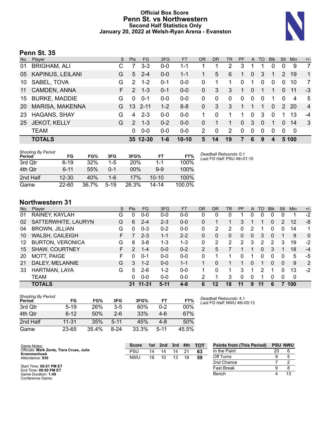### **Official Box Score Penn St. vs Northwestern Second Half Statistics Only January 20, 2022 at Welsh-Ryan Arena - Evanston**



### **Penn St. 35**

| No. | Plaver               | S  | <b>Pts</b>    | <b>FG</b> | 3FG     | <b>FT</b> | <b>OR</b>    | DR       | TR | PF       | $\mathsf{A}$   | TO       | <b>Blk</b> | Stl          | <b>Min</b>     | $+/-$          |
|-----|----------------------|----|---------------|-----------|---------|-----------|--------------|----------|----|----------|----------------|----------|------------|--------------|----------------|----------------|
| 01  | <b>BRIGHAM, ALI</b>  | С  |               | $3 - 3$   | $0 - 0$ | 1-1       |              |          | 2  | 3        |                |          | 0          | 0            | 9              | 7              |
| 05  | KAPINUS, LEILANI     | G  | $5^{\circ}$   | $2 - 4$   | $0 - 0$ | 1-1       |              | 5        | 6  | 1        | $\overline{0}$ | 3        | 1          | 2            | 19             | $\mathbf 1$    |
| 10  | SABEL, TOVA          | G  | $\mathcal{P}$ | $1 - 2$   | $0 - 1$ | $0-0$     | 0            | 1        | 1  | $\Omega$ | 1              | 0        | 0          | 0            | 10             | 7              |
| 11  | CAMDEN, ANNA         | F. | $\mathcal{P}$ | $1 - 3$   | $0 - 1$ | $0 - 0$   | $\Omega$     | 3        | 3  | 1        | 0              |          | 1          | $\Omega$     | 11             | -3             |
| 15  | <b>BURKE, MADDIE</b> | G  | $\Omega$      | $0 - 1$   | $0 - 0$ | $0 - 0$   | $\Omega$     | 0        | 0  | 0        | $\mathbf 0$    | $\Omega$ | 1          | $\mathbf{0}$ | $\overline{4}$ | 5              |
| 20  | MARISA, MAKENNA      | G  | 13            | $2 - 11$  | $1 - 2$ | $8 - 8$   | $\mathbf{0}$ | 3        | 3  |          |                |          | 0          | 2            | 20             | $\overline{4}$ |
| 23  | <b>HAGANS, SHAY</b>  | G  | 4             | $2 - 3$   | $0-0$   | $0-0$     |              | $\Omega$ | 1  | 1        | 0              | 3        | $\Omega$   | 1            | 13             | -4             |
| 25  | <b>JEKOT, KELLY</b>  | G  | $\mathcal{P}$ | $1 - 3$   | $0 - 2$ | $0-0$     | 0            |          | 1  | 0        | 3              | $\Omega$ | 1          | $\Omega$     | 14             | 3              |
|     | <b>TEAM</b>          |    | 0             | $0 - 0$   | $0-0$   | $0-0$     | 2            | 0        | 2  | 0        | $\mathbf 0$    | $\Omega$ | $\Omega$   | 0            | 0              |                |
|     | <b>TOTALS</b>        |    |               | 35 12-30  | $1 - 6$ | $10-10$   | 5            | 14       | 19 |          | 6              | 9        | 4          |              | 5 100          |                |

| <b>Shooting By Period</b><br>Period | FG        | FG%   | 3FG      | 3FG%       | FT      | FT%    | Deadball Rebounds: 0,1<br>Last FG Half: PSU 4th-01:10 |
|-------------------------------------|-----------|-------|----------|------------|---------|--------|-------------------------------------------------------|
| 3rd Otr                             | $6 - 19$  | 32%   | $1-5$    | <b>20%</b> | $1 - 1$ | 100%   |                                                       |
| 4th Qtr                             | $6 - 11$  | 55%   | በ-1      | 00%        | $9-9$   | 100%   |                                                       |
| 2nd Half                            | $12 - 30$ | 40%   | $1 - 6$  | 17%        | $10-10$ | 100%   |                                                       |
| Game                                | $22 - 60$ | 36.7% | $5 - 19$ | 26.3%      | 14-14   | 100.0% |                                                       |

### **Northwestern 31**

| No. | Plaver                  | S  | <b>Pts</b> | FG.       | 3FG     | <b>FT</b> | <b>OR</b>      | <b>DR</b> | TR       | <b>PF</b>     | $\mathsf{A}$ | TO. | <b>Blk</b>   | Stl      | Min | $+/-$        |
|-----|-------------------------|----|------------|-----------|---------|-----------|----------------|-----------|----------|---------------|--------------|-----|--------------|----------|-----|--------------|
| 01  | RAINEY, KAYLAH          | G  | 0          | $0-0$     | 0-0     | $0-0$     | 0              | 0         | 0        |               | 0            | 0   | 0            | 0        |     | $-2$         |
| 02  | SATTERWHITE, LAURYN     | G  | 6          | $2 - 4$   | $2 - 3$ | $0 - 0$   | 0              |           |          | 3             |              |     | 0            | 2        | 12  | -8           |
| 04  | <b>BROWN, JILLIAN</b>   | G  | 0          | $0 - 3$   | $0 - 2$ | $0 - 0$   | 0              | 2         | 2        | 0             | 2            |     | 0            | 0        | 14  | 1.           |
| 10  | <b>WALSH, CAILEIGH</b>  | F  |            | $2 - 3$   | $1 - 1$ | $2 - 2$   | 0              | 0         | $\Omega$ | 0             | 0            | 3   | $\mathbf{0}$ |          | 9   | $\mathbf{0}$ |
| 12  | <b>BURTON, VERONICA</b> | G  | 8          | $3 - 8$   | 1-3     | $1 - 3$   | 0              | 2         | 2        | $\mathcal{P}$ | 3            | 2   | 2            | 3        | 19  | $-2$         |
| 15  | <b>SHAW, COURTNEY</b>   | F. | 2          | 1-4       | $0 - 0$ | $0 - 2$   | $\overline{2}$ | 5         |          |               | 1            | 0   | 3            |          | 18  | $-4$         |
| 20  | MOTT, PAIGE             | F  | 0          | $0 - 1$   | $0 - 0$ | $0 - 0$   | 0              |           |          | 0             | 1            | 0   | 0            | 0        | 5   | -5           |
| 21  | DALEY, MELANNIE         | G  | 3          | $1 - 2$   | $0 - 0$ | $1 - 1$   |                | 0         |          |               | 0            |     | 0            | $\Omega$ | 9   | 2            |
| 33  | HARTMAN, LAYA           | G  | 5          | $2 - 6$   | 1-2     | $0 - 0$   |                | 0         |          | 3             |              | 2   |              | 0        | 13  | $-2$         |
|     | <b>TEAM</b>             |    | 0          | $0 - 0$   | $0 - 0$ | $0 - 0$   | 2              |           | 3        | $\Omega$      | 0            |     | 0            | $\Omega$ | 0   |              |
|     | <b>TOTALS</b>           |    | 31         | $11 - 31$ | $5-11$  | $4 - 8$   | 6              | 12        | 18       | 11            | 9            | 11  | 6            |          | 100 |              |

| <b>Shooting By Period</b> |           |            |          |       |          |        |
|---------------------------|-----------|------------|----------|-------|----------|--------|
| Period                    | FG        | FG%        | 3FG      | 3FG%  | FT       | FT%    |
| 3rd Qtr                   | $5 - 19$  | <b>26%</b> | 3-5      | 60%   | $0 - 2$  | $00\%$ |
| 4th Qtr                   | $6 - 12$  | 50%        | 2-6      | 33%   | $4-6$    | 67%    |
| 2nd Half                  | $11 - 31$ | 35%        | $5 - 11$ | 45%   | 4-8      | 50%    |
| Game                      | 23-65     | 35.4%      | 8-24     | 33.3% | $5 - 11$ | 45.5%  |

*Deadball Rebounds:* 4,1 *Last FG Half:* NWU 4th-00:13

| Game Notes:                                              | <b>Score</b> | 1st. | 2nd | 3rd | 4th | тот | <b>Points from (This Period)</b> |    | <b>PSU NWU</b> |
|----------------------------------------------------------|--------------|------|-----|-----|-----|-----|----------------------------------|----|----------------|
| Officials: Mark Zentz, Tiara Cruse, Julie<br>Krommenhoek | <b>PSU</b>   | 14   |     | 14  |     | 63  | In the Paint                     | 20 | 6              |
| Attendance: 939                                          | <b>NWU</b>   | 18   | 10  | 13  | 18  | 59  | Off Turns                        |    |                |
|                                                          |              |      |     |     |     |     | 2nd Chance                       |    |                |
| Start Time: 08:01 PM ET<br>End Time: 09:50 PM ET         |              |      |     |     |     |     | <b>Fast Break</b>                |    |                |
| Game Duration: 1:49<br>Conference Game;                  |              |      |     |     |     |     | Bench                            |    |                |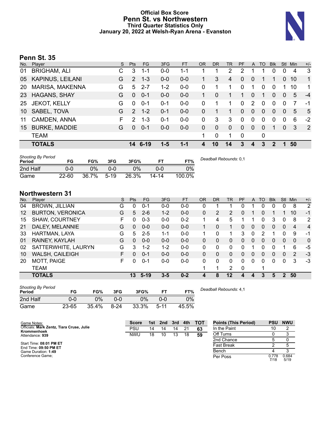### **Official Box Score Penn St. vs Northwestern Third Quarter Statistics Only January 20, 2022 at Welsh-Ryan Arena - Evanston**



### **Penn St. 35**

| No. | Player                  | S. | <b>Pts</b>    | <b>FG</b> | 3FG     | <b>FT</b> | <b>OR</b> | <b>DR</b> | TR             | PF       | A            | <b>TO</b> | <b>Blk</b> | Stl            | Min | $+/-$          |
|-----|-------------------------|----|---------------|-----------|---------|-----------|-----------|-----------|----------------|----------|--------------|-----------|------------|----------------|-----|----------------|
| 01  | <b>BRIGHAM, ALI</b>     | С  | 3             | $1 - 1$   | $0 - 0$ | 1-1       |           |           | $\overline{2}$ | 2        |              |           | 0          | 0              | 4   | 3              |
| 05  | <b>KAPINUS, LEILANI</b> | G  | 2             | $1 - 3$   | $0 - 0$ | $0-0$     |           | 3         | 4              | 0        | $\Omega$     | 1         | 1          | 0              | 10  | $\mathbf{1}$   |
| 20  | <b>MARISA, MAKENNA</b>  | G  | 5             | $2 - 7$   | $1 - 2$ | $0-0$     | $\Omega$  |           | 1              | $\Omega$ |              | 0         | $\Omega$   |                | 10  | 1              |
| 23  | <b>HAGANS, SHAY</b>     | G  | $\Omega$      | $0 - 1$   | $0-0$   | $0 - 0$   | 1         | $\Omega$  | 1.             | 1        | $\Omega$     | 1         | $\Omega$   | $\Omega$       | 5   | $-4$           |
| 25  | <b>JEKOT, KELLY</b>     | G  | $\Omega$      | $0 - 1$   | $0 - 1$ | $0-0$     | $\Omega$  | 1         | 1              | $\Omega$ | 2            | 0         | $\Omega$   | 0              | 7   | -1             |
| 10  | SABEL, TOVA             | G  | $\mathcal{P}$ | $1 - 2$   | $0 - 1$ | $0 - 0$   | $\Omega$  |           | 1              | 0        | $\Omega$     | 0         | $\Omega$   | $\Omega$       | 5   | 5              |
| 11  | CAMDEN, ANNA            | F. | 2             | $1 - 3$   | $0 - 1$ | $0-0$     | 0         | 3         | 3              | 0        | $\mathbf 0$  | 0         | 0          | $\Omega$       | 6   | $-2$           |
| 15  | <b>BURKE, MADDIE</b>    | G  | $\Omega$      | $0 - 1$   | $0 - 0$ | $0 - 0$   | 0         | $\Omega$  | $\mathbf{0}$   | 0        | $\mathbf{0}$ | $\Omega$  | 1          | $\overline{0}$ | 3   | $\overline{2}$ |
|     | <b>TEAM</b>             |    |               |           |         |           | 1         | 0         | 1              | 0        |              | 0         |            |                |     |                |
|     | <b>TOTALS</b>           |    | 14            | $6 - 19$  | $1-5$   | $1 - 1$   | 4         | 10        | 14             | 3        | 4            | 3         | 2          |                | 50  |                |
|     |                         |    |               |           |         |           |           |           |                |          |              |           |            |                |     |                |

| <b>Shooting By Period</b><br>Period | FG        | FG%   | 3FG    | 3FG%  |           | FT%    | Deadball Rebounds: 0,1 |
|-------------------------------------|-----------|-------|--------|-------|-----------|--------|------------------------|
| 2nd Half                            | 0-0       | ገ%    | ი-ი    | $0\%$ | ი-ი       | 0%     |                        |
| Game                                | $22 - 60$ | 36.7% | $5-19$ | 26.3% | $14 - 14$ | 100.0% |                        |

### **Northwestern 31**

| No.     | Plaver                  | S  | <b>Pts</b> | FG.     | 3FG     | <b>FT</b> | 0R | <b>DR</b>      | TR           | PF       | A              | TO       | <b>Blk</b> | Stl | Min          | $+/-$          |
|---------|-------------------------|----|------------|---------|---------|-----------|----|----------------|--------------|----------|----------------|----------|------------|-----|--------------|----------------|
| 04      | <b>BROWN, JILLIAN</b>   | G  | 0          | $0 - 1$ | $0 - 0$ | $0-0$     | 0  |                |              | 0        |                | 0        | 0          | 0   | 8            | $\overline{2}$ |
| $12 \,$ | <b>BURTON, VERONICA</b> | G  | 5          | $2 - 6$ | $1 - 2$ | $0-0$     | 0  | $\overline{2}$ | 2            | 0        |                | 0        |            |     | 10           | $-1$           |
| 15      | SHAW, COURTNEY          | F  | 0          | $0 - 3$ | $0 - 0$ | $0 - 2$   | 1  | 4              | 5            |          |                | 0        | 3          | 0   | 8            | 2              |
| 21      | DALEY, MELANNIE         | G  | 0          | $0 - 0$ | $0 - 0$ | $0 - 0$   |    | 0              | 1.           | 0        | $\Omega$       | $\Omega$ | 0          | 0   | 4            | $\overline{4}$ |
| 33      | HARTMAN, LAYA           | G  | 5          | $2 - 5$ | 1-1     | $0-0$     | 1  | 0              | 1            | 3        | 0              | 2        |            | 0   | 9            | -1             |
| 01      | RAINEY, KAYLAH          | G  | 0          | $0 - 0$ | $0 - 0$ | $0-0$     | 0  | 0              | 0            | 0        | $\overline{0}$ | 0        | 0          | 0   | $\mathbf{0}$ | $\mathbf{0}$   |
| 02      | SATTERWHITE, LAURYN     | G  | 3          | $1 - 2$ | $1 - 2$ | $0 - 0$   | 0  | 0              | $\mathbf{0}$ | 0        |                | 0        |            |     | 6            | -5             |
| 10      | <b>WALSH, CAILEIGH</b>  | F. | 0          | $0 - 1$ | $0 - 0$ | $0 - 0$   | 0  | 0              | 0            | 0        | $\Omega$       | 0        | 0          | 0   | 2            | -3             |
| 20      | <b>MOTT, PAIGE</b>      | F  | $\Omega$   | $0 - 1$ | $0-0$   | $0-0$     | 0  | 0              | $\Omega$     | $\Omega$ | $\Omega$       | 0        | 0          | 0   | 3            | $-3$           |
|         | TEAM                    |    |            |         |         |           |    |                | 2            | 0        |                |          |            |     |              |                |
|         | <b>TOTALS</b>           |    | 13         | $5-19$  | $3 - 5$ | $0 - 2$   |    | 8              | $12 \,$      |          | 4              |          | 5          | 2   | 50           |                |

| <b>Shooting By Period</b><br>Period | FG    | FG%   | 3FG      | 3FG%  |        | FT%   |
|-------------------------------------|-------|-------|----------|-------|--------|-------|
| 2nd Half                            | ი-ი   | 0%    | ი-ი      | $0\%$ | 0-0    | $0\%$ |
| Game                                | 23-65 | 35.4% | $8 - 24$ | 33.3% | $5-11$ | 45.5% |

*Deadball Rebounds:* 4,1

| Game Notes:                                              | <b>Score</b> | 1st | 2nd | $\blacksquare$ 3rd $\blacksquare$ | 4th | тот | <b>Points (This Period)</b> | <b>PSU</b>    | <b>NWU</b>    |
|----------------------------------------------------------|--------------|-----|-----|-----------------------------------|-----|-----|-----------------------------|---------------|---------------|
| Officials: Mark Zentz, Tiara Cruse, Julie<br>Krommenhoek | PSU          | 14  | 14  | 14                                | 21  | 63  | In the Paint                | 10            |               |
| Attendance: 939                                          | <b>NWU</b>   | 18  | 10  | 13                                | 18  | 59  | Off Turns                   |               |               |
|                                                          |              |     |     |                                   |     |     | 2nd Chance                  |               |               |
| Start Time: 08:01 PM ET<br>End Time: 09:50 PM ET         |              |     |     |                                   |     |     | Fast Break                  |               |               |
| Game Duration: 1:49                                      |              |     |     |                                   |     |     | Bench                       |               |               |
| Conference Game:                                         |              |     |     |                                   |     |     | Per Poss                    | 0.778<br>7/18 | 0.684<br>5/19 |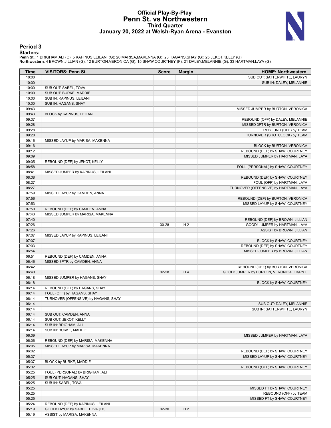### **Official Play-By-Play Penn St. vs Northwestern Third Quarter January 20, 2022 at Welsh-Ryan Arena - Evanston**



### **Period 3**

<mark>Startersː</mark><br>Penn St.: 1 BRIGHAM,ALI (C); 5 KAPINUS,LEILANI (G); 20 MARISA,MAKENNA (G); 23 HAGANS,SHAY (G); 25 JEKOT,KELLY (G);<br>**Northwestern**: 4 BROWN,JILLIAN (G); 12 BURTON,VERONICA (G); 15 SHAW,COURTNEY (F); 21 DALEY,MEL

| Time           | <b>VISITORS: Penn St.</b>                                | <b>Score</b> | <b>Margin</b>  | <b>HOME: Northwestern</b>                                           |
|----------------|----------------------------------------------------------|--------------|----------------|---------------------------------------------------------------------|
| 10:00          |                                                          |              |                | SUB OUT: SATTERWHITE, LAURYN                                        |
| 10:00          |                                                          |              |                | SUB IN: DALEY, MELANNIE                                             |
| 10:00          | SUB OUT: SABEL, TOVA                                     |              |                |                                                                     |
| 10:00          | SUB OUT: BURKE, MADDIE                                   |              |                |                                                                     |
| 10:00          | SUB IN: KAPINUS, LEILANI                                 |              |                |                                                                     |
| 10:00          | SUB IN: HAGANS, SHAY                                     |              |                |                                                                     |
| 09:43          |                                                          |              |                | MISSED JUMPER by BURTON, VERONICA                                   |
| 09:43          | BLOCK by KAPINUS, LEILANI                                |              |                |                                                                     |
| 09:37          |                                                          |              |                | REBOUND (OFF) by DALEY, MELANNIE                                    |
| 09:28          |                                                          |              |                | MISSED 3PTR by BURTON, VERONICA                                     |
| 09:28          |                                                          |              |                | REBOUND (OFF) by TEAM                                               |
| 09:28          |                                                          |              |                | TURNOVER (SHOTCLOCK) by TEAM                                        |
| 09:16          | MISSED LAYUP by MARISA, MAKENNA                          |              |                |                                                                     |
| 09:16          |                                                          |              |                | BLOCK by BURTON, VERONICA                                           |
| 09:12          |                                                          |              |                | REBOUND (DEF) by SHAW, COURTNEY                                     |
| 09:09          |                                                          |              |                | MISSED JUMPER by HARTMAN, LAYA                                      |
| 09:05          | REBOUND (DEF) by JEKOT, KELLY                            |              |                |                                                                     |
| 08:58          |                                                          |              |                | FOUL (PERSONAL) by SHAW, COURTNEY                                   |
| 08:41          | MISSED JUMPER by KAPINUS, LEILANI                        |              |                |                                                                     |
| 08:38<br>08:27 |                                                          |              |                | REBOUND (DEF) by SHAW, COURTNEY                                     |
|                |                                                          |              |                | FOUL (OFF) by HARTMAN, LAYA                                         |
| 08:27<br>07:59 |                                                          |              |                | TURNOVER (OFFENSIVE) by HARTMAN, LAYA                               |
| 07:56          | MISSED LAYUP by CAMDEN, ANNA                             |              |                |                                                                     |
| 07:53          |                                                          |              |                | REBOUND (DEF) by BURTON, VERONICA<br>MISSED LAYUP by SHAW, COURTNEY |
| 07:50          | REBOUND (DEF) by CAMDEN, ANNA                            |              |                |                                                                     |
| 07:43          | MISSED JUMPER by MARISA, MAKENNA                         |              |                |                                                                     |
| 07:40          |                                                          |              |                | REBOUND (DEF) by BROWN, JILLIAN                                     |
| 07:26          |                                                          | 30-28        | H <sub>2</sub> | GOOD! JUMPER by HARTMAN, LAYA                                       |
| 07:26          |                                                          |              |                | ASSIST by BROWN, JILLIAN                                            |
| 07:07          | MISSED LAYUP by KAPINUS, LEILANI                         |              |                |                                                                     |
| 07:07          |                                                          |              |                | BLOCK by SHAW, COURTNEY                                             |
| 07:03          |                                                          |              |                | REBOUND (DEF) by SHAW, COURTNEY                                     |
| 06:54          |                                                          |              |                | MISSED JUMPER by BROWN, JILLIAN                                     |
| 06:51          | REBOUND (DEF) by CAMDEN, ANNA                            |              |                |                                                                     |
| 06:46          | MISSED 3PTR by CAMDEN, ANNA                              |              |                |                                                                     |
| 06:42          |                                                          |              |                | REBOUND (DEF) by BURTON, VERONICA                                   |
| 06:40          |                                                          | 32-28        | H4             | GOOD! JUMPER by BURTON, VERONICA [FB/PNT]                           |
| 06:18          | MISSED JUMPER by HAGANS, SHAY                            |              |                |                                                                     |
| 06:18          |                                                          |              |                | BLOCK by SHAW, COURTNEY                                             |
| 06:14          | REBOUND (OFF) by HAGANS, SHAY                            |              |                |                                                                     |
| 06:14          | FOUL (OFF) by HAGANS, SHAY                               |              |                |                                                                     |
| 06:14          | TURNOVER (OFFENSIVE) by HAGANS, SHAY                     |              |                |                                                                     |
| 06:14          |                                                          |              |                | SUB OUT: DALEY, MELANNIE                                            |
| 06:14          |                                                          |              |                | SUB IN: SATTERWHITE, LAURYN                                         |
| 06:14          | SUB OUT: CAMDEN, ANNA                                    |              |                |                                                                     |
| 06:14          | SUB OUT: JEKOT, KELLY                                    |              |                |                                                                     |
| 06:14          | SUB IN: BRIGHAM, ALI                                     |              |                |                                                                     |
| 06:14          | SUB IN: BURKE, MADDIE                                    |              |                |                                                                     |
| 06:09          |                                                          |              |                | MISSED JUMPER by HARTMAN, LAYA                                      |
| 06:06          | REBOUND (DEF) by MARISA, MAKENNA                         |              |                |                                                                     |
| 06:05          | MISSED LAYUP by MARISA, MAKENNA                          |              |                |                                                                     |
| 06:02          |                                                          |              |                | REBOUND (DEF) by SHAW, COURTNEY                                     |
| 05:37          |                                                          |              |                | MISSED LAYUP by SHAW, COURTNEY                                      |
| 05:37          | BLOCK by BURKE, MADDIE                                   |              |                |                                                                     |
| 05:32          |                                                          |              |                | REBOUND (OFF) by SHAW, COURTNEY                                     |
| 05:25<br>05:25 | FOUL (PERSONAL) by BRIGHAM, ALI<br>SUB OUT: HAGANS, SHAY |              |                |                                                                     |
| 05:25          | SUB IN: SABEL, TOVA                                      |              |                |                                                                     |
| 05:25          |                                                          |              |                | MISSED FT by SHAW, COURTNEY                                         |
| 05:25          |                                                          |              |                | REBOUND (OFF) by TEAM                                               |
| 05:25          |                                                          |              |                | MISSED FT by SHAW, COURTNEY                                         |
| 05:24          | REBOUND (DEF) by KAPINUS, LEILANI                        |              |                |                                                                     |
| 05:19          | GOOD! LAYUP by SABEL, TOVA [FB]                          | 32-30        | H <sub>2</sub> |                                                                     |
| 05:19          | ASSIST by MARISA, MAKENNA                                |              |                |                                                                     |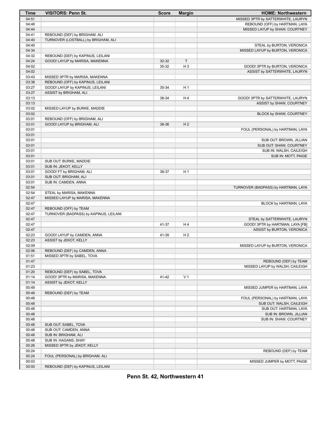| Time  | <b>VISITORS: Penn St.</b>              | <b>Score</b> | <b>Margin</b>  | <b>HOME: Northwestern</b>           |
|-------|----------------------------------------|--------------|----------------|-------------------------------------|
| 04:51 |                                        |              |                | MISSED 3PTR by SATTERWHITE, LAURYN  |
| 04:48 |                                        |              |                | REBOUND (OFF) by HARTMAN, LAYA      |
| 04:44 |                                        |              |                | MISSED LAYUP by SHAW, COURTNEY      |
| 04:41 | REBOUND (DEF) by BRIGHAM, ALI          |              |                |                                     |
| 04:40 | TURNOVER (LOSTBALL) by BRIGHAM, ALI    |              |                |                                     |
| 04:40 |                                        |              |                | STEAL by BURTON, VERONICA           |
| 04:34 |                                        |              |                | MISSED LAYUP by BURTON, VERONICA    |
| 04:32 | REBOUND (DEF) by KAPINUS, LEILANI      |              |                |                                     |
| 04:24 | GOOD! LAYUP by MARISA, MAKENNA         | 32-32        | $\mathsf T$    |                                     |
| 04:02 |                                        | 35-32        | H <sub>3</sub> | GOOD! 3PTR by BURTON, VERONICA      |
| 04:02 |                                        |              |                | ASSIST by SATTERWHITE, LAURYN       |
| 03:43 | MISSED 3PTR by MARISA, MAKENNA         |              |                |                                     |
| 03:38 | REBOUND (OFF) by KAPINUS, LEILANI      |              |                |                                     |
| 03:27 | GOOD! LAYUP by KAPINUS, LEILANI        | 35-34        | H <sub>1</sub> |                                     |
| 03:27 | ASSIST by BRIGHAM, ALI                 |              |                |                                     |
| 03:13 |                                        | 38-34        | H4             | GOOD! 3PTR by SATTERWHITE, LAURYN   |
| 03:13 |                                        |              |                | ASSIST by SHAW, COURTNEY            |
| 03:02 | MISSED LAYUP by BURKE, MADDIE          |              |                |                                     |
| 03:02 |                                        |              |                | BLOCK by SHAW, COURTNEY             |
| 03:01 | REBOUND (OFF) by BRIGHAM, ALI          |              |                |                                     |
| 03:01 | GOOD! LAYUP by BRIGHAM, ALI            | 38-36        | H <sub>2</sub> |                                     |
| 03:01 |                                        |              |                | FOUL (PERSONAL) by HARTMAN, LAYA    |
| 03:01 |                                        |              |                |                                     |
| 03:01 |                                        |              |                | SUB OUT: BROWN, JILLIAN             |
| 03:01 |                                        |              |                | SUB OUT: SHAW, COURTNEY             |
| 03:01 |                                        |              |                | SUB IN: WALSH, CAILEIGH             |
| 03:01 |                                        |              |                | SUB IN: MOTT, PAIGE                 |
| 03:01 | SUB OUT: BURKE, MADDIE                 |              |                |                                     |
| 03:01 | SUB IN: JEKOT, KELLY                   |              |                |                                     |
| 03:01 | GOOD! FT by BRIGHAM, ALI               | 38-37        | H <sub>1</sub> |                                     |
| 03:01 | SUB OUT: BRIGHAM, ALI                  |              |                |                                     |
| 03:01 | SUB IN: CAMDEN, ANNA                   |              |                |                                     |
| 02:54 |                                        |              |                | TURNOVER (BADPASS) by HARTMAN, LAYA |
| 02:54 | STEAL by MARISA, MAKENNA               |              |                |                                     |
| 02:47 | MISSED LAYUP by MARISA, MAKENNA        |              |                |                                     |
| 02:47 |                                        |              |                | BLOCK by HARTMAN, LAYA              |
| 02:47 | REBOUND (OFF) by TEAM                  |              |                |                                     |
| 02:47 | TURNOVER (BADPASS) by KAPINUS, LEILANI |              |                |                                     |
| 02:47 |                                        |              |                | STEAL by SATTERWHITE, LAURYN        |
| 02:47 |                                        | 41-37        | H 4            | GOOD! 3PTR by HARTMAN, LAYA [FB]    |
| 02:47 |                                        |              |                | ASSIST by BURTON, VERONICA          |
| 02:23 | GOOD! LAYUP by CAMDEN, ANNA            | 41-39        | H <sub>2</sub> |                                     |
| 02:23 | ASSIST by JEKOT, KELLY                 |              |                |                                     |
| 02:09 |                                        |              |                | MISSED LAYUP by BURTON, VERONICA    |
| 02:06 | REBOUND (DEF) by CAMDEN, ANNA          |              |                |                                     |
| 01:51 | MISSED 3PTR by SABEL, TOVA             |              |                |                                     |
| 01:47 |                                        |              |                | REBOUND (DEF) by TEAM               |
| 01:23 |                                        |              |                | MISSED LAYUP by WALSH, CAILEIGH     |
| 01:20 | REBOUND (DEF) by SABEL, TOVA           |              |                |                                     |
| 01:14 | GOOD! 3PTR by MARISA, MAKENNA          | 41-42        | V <sub>1</sub> |                                     |
| 01:14 | ASSIST by JEKOT, KELLY                 |              |                |                                     |
| 00:49 |                                        |              |                | MISSED JUMPER by HARTMAN, LAYA      |
| 00:48 | REBOUND (DEF) by TEAM                  |              |                |                                     |
| 00:48 |                                        |              |                | FOUL (PERSONAL) by HARTMAN, LAYA    |
| 00:48 |                                        |              |                | SUB OUT: WALSH, CAILEIGH            |
| 00:48 |                                        |              |                | SUB OUT: HARTMAN, LAYA              |
| 00:48 |                                        |              |                | SUB IN: BROWN, JILLIAN              |
| 00:48 |                                        |              |                | SUB IN: SHAW, COURTNEY              |
| 00:48 | SUB OUT: SABEL, TOVA                   |              |                |                                     |
| 00:48 | SUB OUT: CAMDEN, ANNA                  |              |                |                                     |
| 00:48 | SUB IN: BRIGHAM, ALI                   |              |                |                                     |
| 00:48 | SUB IN: HAGANS, SHAY                   |              |                |                                     |
| 00:26 | MISSED 3PTR by JEKOT, KELLY            |              |                |                                     |
| 00:24 |                                        |              |                | REBOUND (DEF) by TEAM               |
| 00:24 | FOUL (PERSONAL) by BRIGHAM, ALI        |              |                |                                     |
| 00:03 |                                        |              |                | MISSED JUMPER by MOTT, PAIGE        |
| 00:00 | REBOUND (DEF) by KAPINUS, LEILANI      |              |                |                                     |

**Penn St. 42, Northwestern 41**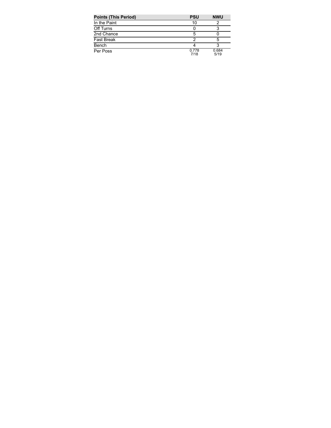| <b>Points (This Period)</b> | <b>PSU</b>    | <b>NWU</b>    |
|-----------------------------|---------------|---------------|
| In the Paint                | 10            |               |
| Off Turns                   |               |               |
| 2nd Chance                  |               |               |
| <b>Fast Break</b>           |               |               |
| Bench                       |               |               |
| Per Poss                    | 0.778<br>7/18 | 0.684<br>5/19 |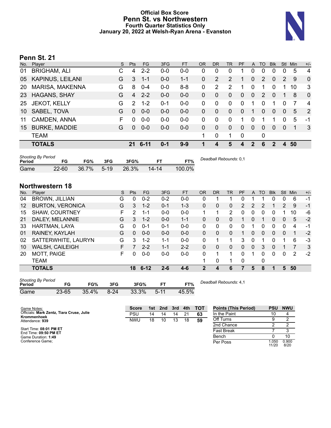### **Official Box Score Penn St. vs Northwestern Fourth Quarter Statistics Only January 20, 2022 at Welsh-Ryan Arena - Evanston**



### **Penn St. 21**

| No. | Player               | S. | <b>Pts</b>    | FG.     | 3FG     | <b>FT</b> | <b>OR</b> | <b>DR</b>        | <b>TR</b>      | PF             | $\mathsf{A}$ | TO       | <b>Blk</b> | <b>Stl</b> | <b>Min</b> | $+/-$          |
|-----|----------------------|----|---------------|---------|---------|-----------|-----------|------------------|----------------|----------------|--------------|----------|------------|------------|------------|----------------|
| 01  | <b>BRIGHAM, ALI</b>  |    | 4             | $2 - 2$ | $0 - 0$ | $0-0$     | 0         | 0                | 0              |                |              | 0        | 0          | 0          | 5          | 4              |
| 05  | KAPINUS, LEILANI     | G  | 3             | $1 - 1$ | $0-0$   | $1 - 1$   | 0         | 2                | $\overline{2}$ |                | $\Omega$     | 2        | $\Omega$   | 2          | 9          | $\mathbf 0$    |
| 20  | MARISA, MAKENNA      | G  | 8             | $0 - 4$ | $0-0$   | $8 - 8$   | 0         | 2                | 2              |                | $\mathbf 0$  | 1        | $\Omega$   |            | 10         | 3              |
| 23  | <b>HAGANS, SHAY</b>  | G  | 4             | $2 - 2$ | $0 - 0$ | $0-0$     | 0         | 0                | $\mathbf{0}$   | 0              | $\Omega$     | 2        | $\Omega$   |            | 8          | $\mathbf 0$    |
| 25  | <b>JEKOT, KELLY</b>  | G  | $\mathcal{P}$ | $1 - 2$ | $0 - 1$ | $0-0$     | 0         | 0                | $\mathbf{0}$   | $\Omega$       |              | 0        | 1          | 0          | 7          | $\overline{4}$ |
| 10  | SABEL, TOVA          | G  | $\Omega$      | $0 - 0$ | $0 - 0$ | $0-0$     | 0         | $\Omega$         | $\Omega$       | 0              | 1            | $\Omega$ | $\Omega$   | $\Omega$   | 5          | 2              |
| 11  | CAMDEN, ANNA         | F  | 0             | $0 - 0$ | $0-0$   | $0-0$     | 0         | $\Omega$         | 0              | 1              |              | 1        | 1          | $\Omega$   | 5          | -1             |
| 15  | <b>BURKE, MADDIE</b> | G  | $\Omega$      | $0 - 0$ | $0 - 0$ | $0 - 0$   | 0         | $\mathbf{0}$     | $\mathbf{0}$   | $\overline{0}$ | 0            | 0        | $\Omega$   | $\Omega$   |            | -3             |
|     | <b>TEAM</b>          |    |               |         |         |           | 1.        | 0                | 1              | $\Omega$       |              | 0        |            |            |            |                |
|     | <b>TOTALS</b>        |    | 21            | 6-11    | $0 - 1$ | $9 - 9$   |           | $\boldsymbol{4}$ | 5              |                | 2            | 6        | 2          | 4          | 50         |                |
|     |                      |    |               |         |         |           |           |                  |                |                |              |          |            |            |            |                |

| <b>Shooting By Period</b><br>Period |           | FG%   | 3FG    | 3FG%  |           | FT%    | Deadball Rebounds: 0,1 |
|-------------------------------------|-----------|-------|--------|-------|-----------|--------|------------------------|
| Game                                | $22 - 60$ | 36.7% | $5-19$ | 26.3% | $14 - 14$ | 100.0% |                        |

### **Northwestern 18**

| No.    | Player                                        | S | <b>Pts</b> | <b>FG</b> | 3FG       | <b>FT</b> | <b>OR</b>    | <b>DR</b>              | TR       | PF | A            | TO       | <b>Blk</b> | <b>Stl</b> | Min | $+/-$ |
|--------|-----------------------------------------------|---|------------|-----------|-----------|-----------|--------------|------------------------|----------|----|--------------|----------|------------|------------|-----|-------|
| 04     | BROWN, JILLIAN                                | G | 0          | $0 - 2$   | $0 - 2$   | $0-0$     | 0            |                        | 1        | 0  |              |          | 0          | 0          | 6   | $-1$  |
| 12     | <b>BURTON, VERONICA</b>                       | G | 3          | $1 - 2$   | $0 - 1$   | $1 - 3$   | 0            | 0                      | 0        | 2  | 2            | 2        |            | 2          | 9   | $-1$  |
| 15     | <b>SHAW, COURTNEY</b>                         | F | 2          | $1 - 1$   | $0 - 0$   | $0-0$     | 1            | 1                      | 2        | 0  | 0            | 0        | 0          |            | 10  | -6    |
| 21     | DALEY, MELANNIE                               | G | 3          | $1 - 2$   | $0 - 0$   | $1 - 1$   | 0            | 0                      | 0        |    | 0            |          | 0          | 0          | 5   | $-2$  |
| 33     | HARTMAN, LAYA                                 | G | 0          | $0 - 1$   | 0-1       | $0 - 0$   | 0            | 0                      | 0        | 0  |              | 0        | 0          | 0          | 4   | -1    |
| 01     | RAINEY, KAYLAH                                | G | 0          | $0 - 0$   | $0 - 0$   | $0 - 0$   | $\mathbf{0}$ | 0                      | $\Omega$ |    | 0            | $\Omega$ | 0          | $\Omega$   |     | $-2$  |
| 02     | SATTERWHITE, LAURYN                           | G | 3          | $1 - 2$   | 1-1       | $0 - 0$   | 0            |                        | 1        | 3  | 0            |          | 0          |            | 6   | -3    |
| 10     | WALSH, CAILEIGH                               | F |            | $2 - 2$   | $1 - 1$   | $2 - 2$   | 0            | 0                      | 0        | 0  | $\mathbf{0}$ | 3        | 0          |            |     | 3     |
| 20     | <b>MOTT, PAIGE</b>                            | F | 0          | $0-0$     | $0-0$     | $0-0$     | 0            | 1                      | 1        | 0  |              | 0        | 0          | 0          | 2   | $-2$  |
|        | TEAM                                          |   |            |           |           |           |              | 0                      | 1        | 0  |              | 0        |            |            |     |       |
|        | <b>TOTALS</b>                                 |   | 18         | $6 - 12$  | $2 - 6$   | $4 - 6$   | $\mathbf{2}$ | 4                      | 6        |    | 5            | 8        |            | 5          | 50  |       |
| Period | <b>Shooting By Period</b><br>FG<br>FG%<br>3FG |   |            | 3FG%      | <b>FT</b> | FT%       |              | Deadball Rebounds: 4.1 |          |    |              |          |            |            |     |       |

| Period |       | FG%      | 3FG    | 3FG%  |          | $T\%$ |
|--------|-------|----------|--------|-------|----------|-------|
| Game   | 23-65 | $35.4\%$ | $8-24$ | 33.3% | $5 - 11$ | 45.5% |

| Game Notes:                                              | <b>Score</b> |    | 1st 2nd | 3rd | 4th | <b>TOT</b> | <b>Points (This Period)</b> | <b>PSU</b>     | <b>NWU</b>    |
|----------------------------------------------------------|--------------|----|---------|-----|-----|------------|-----------------------------|----------------|---------------|
| Officials: Mark Zentz, Tiara Cruse, Julie<br>Krommenhoek | PSU          | 14 | 14      | 14  | 21  | 63         | In the Paint                |                | 4             |
| Attendance: 939                                          | <b>NWU</b>   | 18 | 10      | 13  | 18  | 59         | Off Turns                   |                |               |
|                                                          |              |    |         |     |     |            | 2nd Chance                  |                |               |
| Start Time: 08:01 PM ET<br>End Time: 09:50 PM ET         |              |    |         |     |     |            | <b>Fast Break</b>           |                |               |
| Game Duration: 1:49                                      |              |    |         |     |     |            | Bench                       |                | 10            |
| Conference Game:                                         |              |    |         |     |     |            | Per Poss                    | l.050<br>11/20 | 0.900<br>8/20 |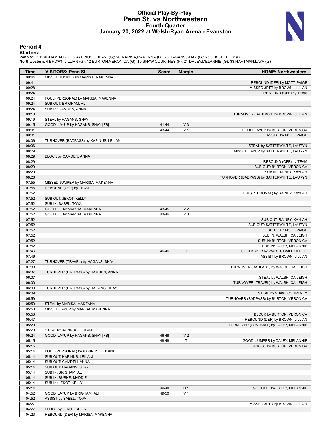### **Official Play-By-Play Penn St. vs Northwestern Fourth Quarter January 20, 2022 at Welsh-Ryan Arena - Evanston**



### **Period 4**

<mark>Startersː</mark><br>Penn St.: 1 BRIGHAM,ALI (C); 5 KAPINUS,LEILANI (G); 20 MARISA,MAKENNA (G); 23 HAGANS,SHAY (G); 25 JEKOT,KELLY (G);<br>**Northwestern**: 4 BROWN,JILLIAN (G); 12 BURTON,VERONICA (G); 15 SHAW,COURTNEY (F); 21 DALEY,MEL

| Time           | <b>VISITORS: Penn St.</b>                     | <b>Score</b>   | <b>Margin</b>           | <b>HOME: Northwestern</b>                                         |
|----------------|-----------------------------------------------|----------------|-------------------------|-------------------------------------------------------------------|
| 09:44          | MISSED JUMPER by MARISA, MAKENNA              |                |                         |                                                                   |
| 09:41          |                                               |                |                         | REBOUND (DEF) by MOTT, PAIGE                                      |
| 09:28          |                                               |                |                         | MISSED 3PTR by BROWN, JILLIAN                                     |
| 09:24          |                                               |                |                         | REBOUND (OFF) by TEAM                                             |
| 09:24          | FOUL (PERSONAL) by MARISA, MAKENNA            |                |                         |                                                                   |
| 09:24          | SUB OUT: BRIGHAM, ALI                         |                |                         |                                                                   |
| 09:24          | SUB IN: CAMDEN, ANNA                          |                |                         |                                                                   |
| 09:19          |                                               |                |                         | TURNOVER (BADPASS) by BROWN, JILLIAN                              |
| 09:19<br>09:15 | STEAL by HAGANS, SHAY                         |                | $V_3$                   |                                                                   |
| 09:01          | GOOD! LAYUP by HAGANS, SHAY [FB]              | 41-44<br>43-44 | V <sub>1</sub>          | GOOD! LAYUP by BURTON, VERONICA                                   |
| 09:01          |                                               |                |                         | ASSIST by MOTT, PAIGE                                             |
| 08:36          | TURNOVER (BADPASS) by KAPINUS, LEILANI        |                |                         |                                                                   |
| 08:36          |                                               |                |                         | STEAL by SATTERWHITE, LAURYN                                      |
| 08:29          |                                               |                |                         | MISSED LAYUP by SATTERWHITE, LAURYN                               |
| 08:29          | BLOCK by CAMDEN, ANNA                         |                |                         |                                                                   |
| 08:29          |                                               |                |                         | REBOUND (OFF) by TEAM                                             |
| 08:29          |                                               |                |                         | SUB OUT: BURTON, VERONICA                                         |
| 08:29          |                                               |                |                         | SUB IN: RAINEY, KAYLAH                                            |
| 08:26          |                                               |                |                         | TURNOVER (BADPASS) by SATTERWHITE, LAURYN                         |
| 07:55          | MISSED JUMPER by MARISA, MAKENNA              |                |                         |                                                                   |
| 07:55          | REBOUND (OFF) by TEAM                         |                |                         |                                                                   |
| 07:52          |                                               |                |                         | FOUL (PERSONAL) by RAINEY, KAYLAH                                 |
| 07:52          | SUB OUT: JEKOT, KELLY                         |                |                         |                                                                   |
| 07:52          | SUB IN: SABEL, TOVA                           |                |                         |                                                                   |
| 07:52<br>07:52 | GOOD! FT by MARISA, MAKENNA                   | 43-45<br>43-46 | V <sub>2</sub><br>$V_3$ |                                                                   |
| 07:52          | GOOD! FT by MARISA, MAKENNA                   |                |                         | SUB OUT: RAINEY, KAYLAH                                           |
| 07:52          |                                               |                |                         | SUB OUT: SATTERWHITE, LAURYN                                      |
| 07:52          |                                               |                |                         | SUB OUT: MOTT, PAIGE                                              |
| 07:52          |                                               |                |                         | SUB IN: WALSH, CAILEIGH                                           |
| 07:52          |                                               |                |                         | SUB IN: BURTON, VERONICA                                          |
| 07:52          |                                               |                |                         | SUB IN: DALEY, MELANNIE                                           |
| 07:46          |                                               | 46-46          | T                       | GOOD! 3PTR by WALSH, CAILEIGH [FB]                                |
| 07:46          |                                               |                |                         | ASSIST by BROWN, JILLIAN                                          |
| 07:27          | TURNOVER (TRAVEL) by HAGANS, SHAY             |                |                         |                                                                   |
| 07:08          |                                               |                |                         | TURNOVER (BADPASS) by WALSH, CAILEIGH                             |
| 06:37          | TURNOVER (BADPASS) by CAMDEN, ANNA            |                |                         |                                                                   |
| 06:37          |                                               |                |                         | STEAL by WALSH, CAILEIGH                                          |
| 06:30          |                                               |                |                         | TURNOVER (TRAVEL) by WALSH, CAILEIGH                              |
| 06:09<br>06:09 | TURNOVER (BADPASS) by HAGANS, SHAY            |                |                         |                                                                   |
| 05:59          |                                               |                |                         | STEAL by SHAW, COURTNEY<br>TURNOVER (BADPASS) by BURTON, VERONICA |
| 05:59          | STEAL by MARISA, MAKENNA                      |                |                         |                                                                   |
| 05:53          | MISSED LAYUP by MARISA, MAKENNA               |                |                         |                                                                   |
| 05:53          |                                               |                |                         | BLOCK by BURTON, VERONICA                                         |
| 05:47          |                                               |                |                         | REBOUND (DEF) by BROWN, JILLIAN                                   |
| 05:29          |                                               |                |                         | TURNOVER (LOSTBALL) by DALEY, MELANNIE                            |
| 05:29          | STEAL by KAPINUS, LEILANI                     |                |                         |                                                                   |
| 05:24          | GOOD! LAYUP by HAGANS, SHAY [FB]              | 46-48          | V <sub>2</sub>          |                                                                   |
| 05:15          |                                               | 48-48          | $\mathsf T$             | GOOD! JUMPER by DALEY, MELANNIE                                   |
| 05:15          |                                               |                |                         | ASSIST by BURTON, VERONICA                                        |
| 05:14          | FOUL (PERSONAL) by KAPINUS, LEILANI           |                |                         |                                                                   |
| 05:14          | SUB OUT: KAPINUS, LEILANI                     |                |                         |                                                                   |
| 05:14          | SUB OUT: CAMDEN, ANNA                         |                |                         |                                                                   |
| 05:14          | SUB OUT: HAGANS, SHAY                         |                |                         |                                                                   |
| 05:14<br>05:14 | SUB IN: BRIGHAM, ALI<br>SUB IN: BURKE, MADDIE |                |                         |                                                                   |
| 05:14          | SUB IN: JEKOT, KELLY                          |                |                         |                                                                   |
| 05:14          |                                               | 49-48          | H <sub>1</sub>          | GOOD! FT by DALEY, MELANNIE                                       |
| 04:52          | GOOD! LAYUP by BRIGHAM, ALI                   | 49-50          | V <sub>1</sub>          |                                                                   |
| 04:52          | ASSIST by SABEL, TOVA                         |                |                         |                                                                   |
| 04:27          |                                               |                |                         | MISSED 3PTR by BROWN, JILLIAN                                     |
| 04:27          | BLOCK by JEKOT, KELLY                         |                |                         |                                                                   |
| 04:23          | REBOUND (DEF) by MARISA, MAKENNA              |                |                         |                                                                   |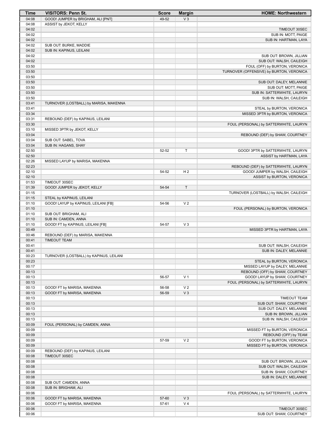| Time           | <b>VISITORS: Penn St.</b>               | <b>Score</b> | <b>Margin</b>  | <b>HOME: Northwestern</b>                           |
|----------------|-----------------------------------------|--------------|----------------|-----------------------------------------------------|
| 04:08          | GOOD! JUMPER by BRIGHAM, ALI [PNT]      | 49-52        | V <sub>3</sub> |                                                     |
| 04:08          | ASSIST by JEKOT, KELLY                  |              |                |                                                     |
| 04:02          |                                         |              |                | TIMEOUT 30SEC                                       |
| 04:02          |                                         |              |                | SUB IN: MOTT, PAIGE                                 |
| 04:02          |                                         |              |                | SUB IN: HARTMAN, LAYA                               |
| 04:02          | SUB OUT: BURKE, MADDIE                  |              |                |                                                     |
| 04:02          | SUB IN: KAPINUS, LEILANI                |              |                |                                                     |
| 04:02          |                                         |              |                | SUB OUT: BROWN, JILLIAN                             |
| 04:02          |                                         |              |                | SUB OUT: WALSH, CAILEIGH                            |
| 03:50<br>03:50 |                                         |              |                | FOUL (OFF) by BURTON, VERONICA                      |
| 03:50          |                                         |              |                | TURNOVER (OFFENSIVE) by BURTON, VERONICA            |
| 03:50          |                                         |              |                | SUB OUT: DALEY, MELANNIE                            |
| 03:50          |                                         |              |                | SUB OUT: MOTT, PAIGE                                |
| 03:50          |                                         |              |                | SUB IN: SATTERWHITE, LAURYN                         |
| 03:50          |                                         |              |                | SUB IN: WALSH, CAILEIGH                             |
| 03:41          | TURNOVER (LOSTBALL) by MARISA, MAKENNA  |              |                |                                                     |
| 03:41          |                                         |              |                | STEAL by BURTON, VERONICA                           |
| 03:34          |                                         |              |                | MISSED 3PTR by BURTON, VERONICA                     |
| 03:31          | REBOUND (DEF) by KAPINUS, LEILANI       |              |                |                                                     |
| 03:30          |                                         |              |                | FOUL (PERSONAL) by SATTERWHITE, LAURYN              |
| 03:10          | MISSED 3PTR by JEKOT, KELLY             |              |                |                                                     |
| 03:04          |                                         |              |                | REBOUND (DEF) by SHAW, COURTNEY                     |
| 03:04          | SUB OUT: SABEL, TOVA                    |              |                |                                                     |
| 03:04          | SUB IN: HAGANS, SHAY                    |              |                |                                                     |
| 02:50          |                                         | 52-52        | T              | GOOD! 3PTR by SATTERWHITE, LAURYN                   |
| 02:50          |                                         |              |                | ASSIST by HARTMAN, LAYA                             |
| 02:26          | MISSED LAYUP by MARISA, MAKENNA         |              |                |                                                     |
| 02:23          |                                         |              |                | REBOUND (DEF) by SATTERWHITE, LAURYN                |
| 02:10          |                                         | 54-52        | H <sub>2</sub> | GOOD! JUMPER by WALSH, CAILEIGH                     |
| 02:10          |                                         |              |                | ASSIST by BURTON, VERONICA                          |
| 01:53          | TIMEOUT 30SEC                           |              |                |                                                     |
| 01:39          | GOOD! JUMPER by JEKOT, KELLY            | 54-54        | $\mathsf T$    |                                                     |
| 01:15          |                                         |              |                | TURNOVER (LOSTBALL) by WALSH, CAILEIGH              |
| 01:15          | STEAL by KAPINUS, LEILANI               |              |                |                                                     |
| 01:10          | GOOD! LAYUP by KAPINUS, LEILANI [FB]    | 54-56        | V <sub>2</sub> |                                                     |
| 01:10          |                                         |              |                | FOUL (PERSONAL) by BURTON, VERONICA                 |
| 01:10          | SUB OUT: BRIGHAM, ALI                   |              |                |                                                     |
| 01:10          | SUB IN: CAMDEN, ANNA                    |              |                |                                                     |
| 01:10          | GOOD! FT by KAPINUS, LEILANI [FB]       | 54-57        | $V_3$          |                                                     |
| 00:49          |                                         |              |                | MISSED 3PTR by HARTMAN, LAYA                        |
| 00:46          | REBOUND (DEF) by MARISA, MAKENNA        |              |                |                                                     |
| 00:41          | <b>TIMEOUT TEAM</b>                     |              |                |                                                     |
| 00:41<br>00:41 |                                         |              |                | SUB OUT: WALSH, CAILEIGH<br>SUB IN: DALEY, MELANNIE |
| 00:23          | TURNOVER (LOSTBALL) by KAPINUS, LEILANI |              |                |                                                     |
| 00:23          |                                         |              |                | STEAL by BURTON, VERONICA                           |
| 00:17          |                                         |              |                | MISSED LAYUP by DALEY, MELANNIE                     |
| 00:13          |                                         |              |                | REBOUND (OFF) by SHAW, COURTNEY                     |
| 00:13          |                                         | 56-57        | V <sub>1</sub> | GOOD! LAYUP by SHAW, COURTNEY                       |
| 00:13          |                                         |              |                | FOUL (PERSONAL) by SATTERWHITE, LAURYN              |
| 00:13          | GOOD! FT by MARISA, MAKENNA             | 56-58        | V <sub>2</sub> |                                                     |
| 00:13          | GOOD! FT by MARISA, MAKENNA             | 56-59        | $V_3$          |                                                     |
| 00:13          |                                         |              |                | <b>TIMEOUT TEAM</b>                                 |
| 00:13          |                                         |              |                | SUB OUT: SHAW, COURTNEY                             |
| 00:13          |                                         |              |                | SUB OUT: DALEY, MELANNIE                            |
| 00:13          |                                         |              |                | SUB IN: BROWN, JILLIAN                              |
| 00:13          |                                         |              |                | SUB IN: WALSH, CAILEIGH                             |
| 00:09          | FOUL (PERSONAL) by CAMDEN, ANNA         |              |                |                                                     |
| 00:09          |                                         |              |                | MISSED FT by BURTON, VERONICA                       |
| 00:09          |                                         |              |                | REBOUND (OFF) by TEAM                               |
| 00:09          |                                         | 57-59        | V <sub>2</sub> | GOOD! FT by BURTON, VERONICA                        |
| 00:09          |                                         |              |                | MISSED FT by BURTON, VERONICA                       |
| 00:09          | REBOUND (DEF) by KAPINUS, LEILANI       |              |                |                                                     |
| 00:08          | TIMEOUT 30SEC                           |              |                |                                                     |
| 00:08          |                                         |              |                | SUB OUT: BROWN, JILLIAN                             |
| 00:08          |                                         |              |                | SUB OUT: WALSH, CAILEIGH                            |
| 00:08          |                                         |              |                | SUB IN: SHAW, COURTNEY                              |
| 00:08          |                                         |              |                | SUB IN: DALEY, MELANNIE                             |
| 00:08          | SUB OUT: CAMDEN, ANNA                   |              |                |                                                     |
| 00:08          | SUB IN: BRIGHAM, ALI                    |              |                |                                                     |
| 00:06          |                                         |              |                | FOUL (PERSONAL) by SATTERWHITE, LAURYN              |
| 00:06          | GOOD! FT by MARISA, MAKENNA             | 57-60        | $V_3$          |                                                     |
| 00:06          | GOOD! FT by MARISA, MAKENNA             | 57-61        | V <sub>4</sub> |                                                     |
| 00:06          |                                         |              |                | TIMEOUT 30SEC                                       |
| 00:06          |                                         |              |                | SUB OUT: SHAW, COURTNEY                             |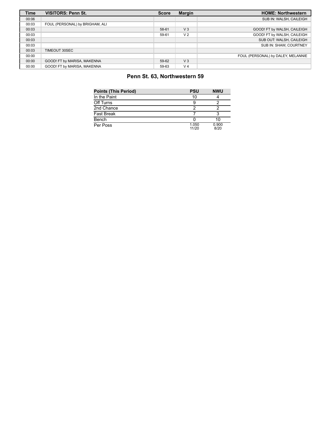| <b>Time</b> | <b>VISITORS: Penn St.</b>       | <b>Score</b> | <b>Margin</b>  | <b>HOME: Northwestern</b>          |
|-------------|---------------------------------|--------------|----------------|------------------------------------|
| 00:06       |                                 |              |                | SUB IN: WALSH, CAILEIGH            |
| 00:03       | FOUL (PERSONAL) by BRIGHAM, ALI |              |                |                                    |
| 00:03       |                                 | 58-61        | V <sub>3</sub> | GOOD! FT by WALSH, CAILEIGH        |
| 00:03       |                                 | 59-61        | V <sub>2</sub> | GOOD! FT by WALSH, CAILEIGH        |
| 00:03       |                                 |              |                | SUB OUT: WALSH, CAILEIGH           |
| 00:03       |                                 |              |                | SUB IN: SHAW, COURTNEY             |
| 00:03       | TIMEOUT 30SEC                   |              |                |                                    |
| 00:00       |                                 |              |                | FOUL (PERSONAL) by DALEY, MELANNIE |
| 00:00       | GOOD! FT by MARISA, MAKENNA     | 59-62        | $V_3$          |                                    |
| 00:00       | GOOD! FT by MARISA, MAKENNA     | 59-63        | V <sub>4</sub> |                                    |

### **Penn St. 63, Northwestern 59**

| <b>Points (This Period)</b> | <b>PSU</b>     | <b>NWU</b>    |
|-----------------------------|----------------|---------------|
| In the Paint                | 10             |               |
| Off Turns                   |                |               |
| 2nd Chance                  |                |               |
| <b>Fast Break</b>           |                |               |
| Bench                       |                | 10            |
| Per Poss                    | 1.050<br>11/20 | 0.900<br>8/20 |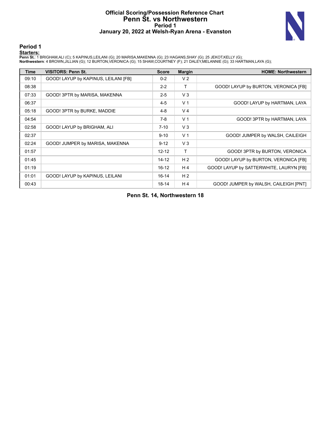### **Official Scoring/Possession Reference Chart Penn St. vs Northwestern Period 1 January 20, 2022 at Welsh-Ryan Arena - Evanston**



### **Period 1**

<mark>Startersː</mark><br>Penn St.: 1 BRIGHAM,ALI (C); 5 KAPINUS,LEILANI (G); 20 MARISA,MAKENNA (G); 23 HAGANS,SHAY (G); 25 JEKOT,KELLY (G);<br>**Northwestern**: 4 BROWN,JILLIAN (G); 12 BURTON,VERONICA (G); 15 SHAW,COURTNEY (F); 21 DALEY,MEL

| <b>Time</b> | <b>VISITORS: Penn St.</b>            | <b>Score</b> | <b>Margin</b>  | <b>HOME: Northwestern</b>               |
|-------------|--------------------------------------|--------------|----------------|-----------------------------------------|
| 09:10       | GOOD! LAYUP by KAPINUS, LEILANI [FB] | $0 - 2$      | V <sub>2</sub> |                                         |
| 08:38       |                                      | $2 - 2$      | т              | GOOD! LAYUP by BURTON, VERONICA [FB]    |
| 07:33       | GOOD! 3PTR by MARISA, MAKENNA        | $2 - 5$      | V3             |                                         |
| 06:37       |                                      | $4 - 5$      | V <sub>1</sub> | GOOD! LAYUP by HARTMAN, LAYA            |
| 05:18       | GOOD! 3PTR by BURKE, MADDIE          | $4 - 8$      | V <sub>4</sub> |                                         |
| 04:54       |                                      | $7-8$        | V <sub>1</sub> | GOOD! 3PTR by HARTMAN, LAYA             |
| 02:58       | GOOD! LAYUP by BRIGHAM, ALI          | $7 - 10$     | $V_3$          |                                         |
| 02:37       |                                      | $9 - 10$     | V <sub>1</sub> | GOOD! JUMPER by WALSH, CAILEIGH         |
| 02:24       | GOOD! JUMPER by MARISA, MAKENNA      | $9 - 12$     | $V_3$          |                                         |
| 01:57       |                                      | $12 - 12$    | T              | GOOD! 3PTR by BURTON, VERONICA          |
| 01:45       |                                      | $14 - 12$    | H <sub>2</sub> | GOOD! LAYUP by BURTON, VERONICA [FB]    |
| 01:19       |                                      | $16 - 12$    | H 4            | GOOD! LAYUP by SATTERWHITE, LAURYN [FB] |
| 01:01       | GOOD! LAYUP by KAPINUS, LEILANI      | $16 - 14$    | H <sub>2</sub> |                                         |
| 00:43       |                                      | $18 - 14$    | H 4            | GOOD! JUMPER by WALSH, CAILEIGH [PNT]   |

**Penn St. 14, Northwestern 18**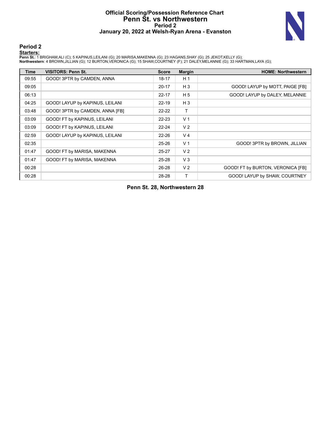### **Official Scoring/Possession Reference Chart Penn St. vs Northwestern Period 2 January 20, 2022 at Welsh-Ryan Arena - Evanston**



### **Period 2**

<mark>Startersː</mark><br>Penn St.: 1 BRIGHAM,ALI (C); 5 KAPINUS,LEILANI (G); 20 MARISA,MAKENNA (G); 23 HAGANS,SHAY (G); 25 JEKOT,KELLY (G);<br>**Northwestern**: 4 BROWN,JILLIAN (G); 12 BURTON,VERONICA (G); 15 SHAW,COURTNEY (F); 21 DALEY,MEL

| <b>Time</b> | <b>VISITORS: Penn St.</b>       | <b>Score</b> | <b>Margin</b>  | <b>HOME: Northwestern</b>         |
|-------------|---------------------------------|--------------|----------------|-----------------------------------|
| 09:55       | GOOD! 3PTR by CAMDEN, ANNA      | 18-17        | H <sub>1</sub> |                                   |
| 09:05       |                                 | $20 - 17$    | $H_3$          | GOOD! LAYUP by MOTT, PAIGE [FB]   |
| 06:13       |                                 | $22 - 17$    | H <sub>5</sub> | GOOD! LAYUP by DALEY, MELANNIE    |
| 04:25       | GOOD! LAYUP by KAPINUS, LEILANI | $22 - 19$    | $H_3$          |                                   |
| 03:48       | GOOD! 3PTR by CAMDEN, ANNA [FB] | $22 - 22$    | т              |                                   |
| 03:09       | GOOD! FT by KAPINUS, LEILANI    | $22 - 23$    | V <sub>1</sub> |                                   |
| 03:09       | GOOD! FT by KAPINUS, LEILANI    | $22 - 24$    | V <sub>2</sub> |                                   |
| 02:59       | GOOD! LAYUP by KAPINUS, LEILANI | $22 - 26$    | V <sub>4</sub> |                                   |
| 02:35       |                                 | $25 - 26$    | V <sub>1</sub> | GOOD! 3PTR by BROWN, JILLIAN      |
| 01:47       | GOOD! FT by MARISA, MAKENNA     | $25 - 27$    | V <sub>2</sub> |                                   |
| 01:47       | GOOD! FT by MARISA, MAKENNA     | $25 - 28$    | V <sub>3</sub> |                                   |
| 00:28       |                                 | 26-28        | V <sub>2</sub> | GOOD! FT by BURTON, VERONICA [FB] |
| 00:28       |                                 | 28-28        | T              | GOOD! LAYUP by SHAW, COURTNEY     |

**Penn St. 28, Northwestern 28**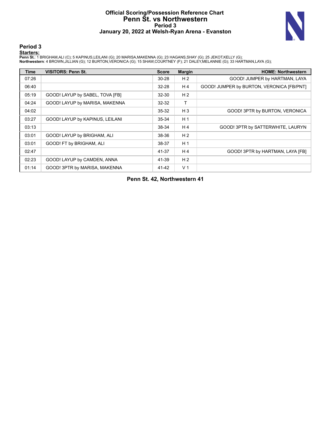### **Official Scoring/Possession Reference Chart Penn St. vs Northwestern Period 3 January 20, 2022 at Welsh-Ryan Arena - Evanston**



### **Period 3**

<mark>Startersː</mark><br>Penn St.: 1 BRIGHAM,ALI (C); 5 KAPINUS,LEILANI (G); 20 MARISA,MAKENNA (G); 23 HAGANS,SHAY (G); 25 JEKOT,KELLY (G);<br>**Northwestern**: 4 BROWN,JILLIAN (G); 12 BURTON,VERONICA (G); 15 SHAW,COURTNEY (F); 21 DALEY,MEL

| Time  | <b>VISITORS: Penn St.</b>       | <b>Score</b> | <b>Margin</b>  | <b>HOME: Northwestern</b>                 |
|-------|---------------------------------|--------------|----------------|-------------------------------------------|
| 07:26 |                                 | $30 - 28$    | H <sub>2</sub> | GOOD! JUMPER by HARTMAN, LAYA             |
| 06:40 |                                 | $32 - 28$    | H <sub>4</sub> | GOOD! JUMPER by BURTON, VERONICA [FB/PNT] |
| 05:19 | GOOD! LAYUP by SABEL, TOVA [FB] | 32-30        | H <sub>2</sub> |                                           |
| 04:24 | GOOD! LAYUP by MARISA, MAKENNA  | $32 - 32$    | Т              |                                           |
| 04:02 |                                 | $35 - 32$    | $H_3$          | GOOD! 3PTR by BURTON, VERONICA            |
| 03:27 | GOOD! LAYUP by KAPINUS, LEILANI | $35 - 34$    | H <sub>1</sub> |                                           |
| 03:13 |                                 | 38-34        | H4             | GOOD! 3PTR by SATTERWHITE, LAURYN         |
| 03:01 | GOOD! LAYUP by BRIGHAM, ALI     | 38-36        | H <sub>2</sub> |                                           |
| 03:01 | GOOD! FT by BRIGHAM, ALI        | 38-37        | H <sub>1</sub> |                                           |
| 02:47 |                                 | 41-37        | H4             | GOOD! 3PTR by HARTMAN, LAYA [FB]          |
| 02:23 | GOOD! LAYUP by CAMDEN, ANNA     | 41-39        | H <sub>2</sub> |                                           |
| 01:14 | GOOD! 3PTR by MARISA, MAKENNA   | 41-42        | V <sub>1</sub> |                                           |

**Penn St. 42, Northwestern 41**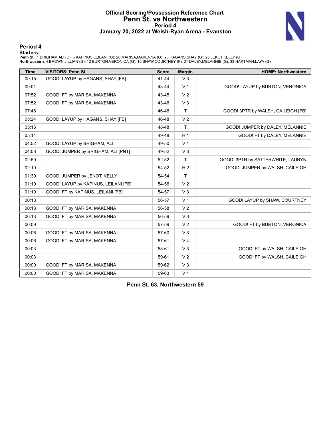### **Official Scoring/Possession Reference Chart Penn St. vs Northwestern Period 4 January 20, 2022 at Welsh-Ryan Arena - Evanston**



### **Period 4**

<mark>Startersː</mark><br>Penn St.: 1 BRIGHAM,ALI (C); 5 KAPINUS,LEILANI (G); 20 MARISA,MAKENNA (G); 23 HAGANS,SHAY (G); 25 JEKOT,KELLY (G);<br>**Northwestern**: 4 BROWN,JILLIAN (G); 12 BURTON,VERONICA (G); 15 SHAW,COURTNEY (F); 21 DALEY,MEL

| <b>Time</b> | <b>VISITORS: Penn St.</b>            | <b>Score</b> | <b>Margin</b>  | <b>HOME: Northwestern</b>          |
|-------------|--------------------------------------|--------------|----------------|------------------------------------|
| 09:15       | GOOD! LAYUP by HAGANS, SHAY [FB]     | $41 - 44$    | V <sub>3</sub> |                                    |
| 09:01       |                                      | 43-44        | V <sub>1</sub> | GOOD! LAYUP by BURTON, VERONICA    |
| 07:52       | GOOD! FT by MARISA, MAKENNA          | 43-45        | V <sub>2</sub> |                                    |
| 07:52       | GOOD! FT by MARISA, MAKENNA          | 43-46        | $V_3$          |                                    |
| 07:46       |                                      | 46-46        | T              | GOOD! 3PTR by WALSH, CAILEIGH [FB] |
| 05:24       | GOOD! LAYUP by HAGANS, SHAY [FB]     | 46-48        | V <sub>2</sub> |                                    |
| 05:15       |                                      | 48-48        | T              | GOOD! JUMPER by DALEY, MELANNIE    |
| 05:14       |                                      | 49-48        | H <sub>1</sub> | GOOD! FT by DALEY, MELANNIE        |
| 04:52       | GOOD! LAYUP by BRIGHAM, ALI          | 49-50        | V <sub>1</sub> |                                    |
| 04:08       | GOOD! JUMPER by BRIGHAM, ALI [PNT]   | 49-52        | $V_3$          |                                    |
| 02:50       |                                      | 52-52        | $\mathsf{T}$   | GOOD! 3PTR by SATTERWHITE, LAURYN  |
| 02:10       |                                      | 54-52        | H <sub>2</sub> | GOOD! JUMPER by WALSH, CAILEIGH    |
| 01:39       | GOOD! JUMPER by JEKOT, KELLY         | 54-54        | $\mathsf{T}$   |                                    |
| 01:10       | GOOD! LAYUP by KAPINUS, LEILANI [FB] | 54-56        | V <sub>2</sub> |                                    |
| 01:10       | GOOD! FT by KAPINUS, LEILANI [FB]    | 54-57        | V <sub>3</sub> |                                    |
| 00:13       |                                      | 56-57        | V <sub>1</sub> | GOOD! LAYUP by SHAW, COURTNEY      |
| 00:13       | GOOD! FT by MARISA, MAKENNA          | 56-58        | V <sub>2</sub> |                                    |
| 00:13       | GOOD! FT by MARISA, MAKENNA          | 56-59        | V <sub>3</sub> |                                    |
| 00:09       |                                      | 57-59        | V <sub>2</sub> | GOOD! FT by BURTON, VERONICA       |
| 00:06       | GOOD! FT by MARISA, MAKENNA          | 57-60        | $V_3$          |                                    |
| 00:06       | GOOD! FT by MARISA, MAKENNA          | 57-61        | V <sub>4</sub> |                                    |
| 00:03       |                                      | 58-61        | V <sub>3</sub> | GOOD! FT by WALSH, CAILEIGH        |
| 00:03       |                                      | 59-61        | V <sub>2</sub> | GOOD! FT by WALSH, CAILEIGH        |
| 00:00       | GOOD! FT by MARISA, MAKENNA          | 59-62        | V <sub>3</sub> |                                    |
| 00:00       | GOOD! FT by MARISA, MAKENNA          | 59-63        | V <sub>4</sub> |                                    |

**Penn St. 63, Northwestern 59**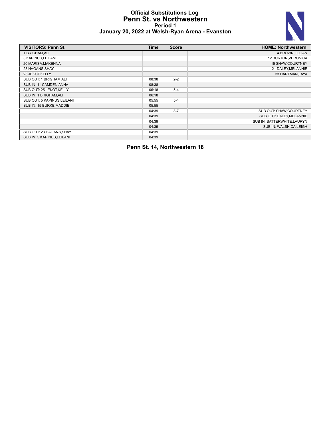### **Official Substitutions Log Penn St. vs Northwestern Period 1 January 20, 2022 at Welsh-Ryan Arena - Evanston**



| <b>VISITORS: Penn St.</b>   | <b>Time</b> | <b>Score</b> | <b>HOME: Northwestern</b>   |
|-----------------------------|-------------|--------------|-----------------------------|
| BRIGHAM, ALI                |             |              | 4 BROWN, JILLIAN            |
| 5 KAPINUS, LEILANI          |             |              | 12 BURTON, VERONICA         |
| 20 MARISA, MAKENNA          |             |              | 15 SHAW, COURTNEY           |
| 23 HAGANS, SHAY             |             |              | 21 DALEY, MELANNIE          |
| 25 JEKOT, KELLY             |             |              | 33 HARTMAN, LAYA            |
| SUB OUT: 1 BRIGHAM, ALI     | 08:38       | $2 - 2$      |                             |
| SUB IN: 11 CAMDEN, ANNA     | 08:38       |              |                             |
| SUB OUT: 25 JEKOT KELLY     | 06:18       | $5 - 4$      |                             |
| SUB IN: 1 BRIGHAM, ALI      | 06:18       |              |                             |
| SUB OUT: 5 KAPINUS, LEILANI | 05:55       | $5 - 4$      |                             |
| SUB IN: 15 BURKE, MADDIE    | 05:55       |              |                             |
|                             | 04:39       | $8 - 7$      | SUB OUT: SHAW, COURTNEY     |
|                             | 04:39       |              | SUB OUT: DALEY, MELANNIE    |
|                             | 04:39       |              | SUB IN: SATTERWHITE, LAURYN |
|                             | 04:39       |              | SUB IN: WALSH, CAILEIGH     |
| SUB OUT: 23 HAGANS, SHAY    | 04:39       |              |                             |
| SUB IN: 5 KAPINUS, LEILANI  | 04:39       |              |                             |

**Penn St. 14, Northwestern 18**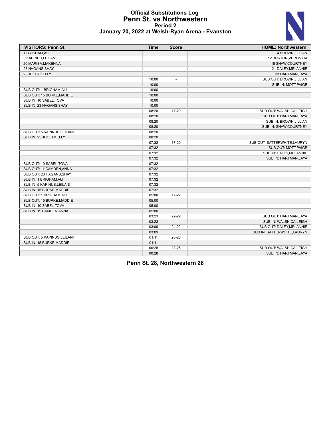### **Official Substitutions Log Penn St. vs Northwestern Period 2 January 20, 2022 at Welsh-Ryan Arena - Evanston**



| <b>VISITORS: Penn St.</b>   | <b>Time</b> | <b>Score</b>             | <b>HOME: Northwestern</b>    |
|-----------------------------|-------------|--------------------------|------------------------------|
| 1 BRIGHAM, ALI              |             |                          | 4 BROWN, JILLIAN             |
| 5 KAPINUS, LEILANI          |             |                          | 12 BURTON, VERONICA          |
| 20 MARISA, MAKENNA          |             |                          | 15 SHAW, COURTNEY            |
| 23 HAGANS, SHAY             |             |                          | 21 DALEY, MELANNIE           |
| 25 JEKOT, KELLY             |             |                          | 33 HARTMAN, LAYA             |
|                             | 10:00       | $\overline{\phantom{a}}$ | SUB OUT: BROWN, JILLIAN      |
|                             | 10:00       |                          | SUB IN: MOTT, PAIGE          |
| SUB OUT: 1 BRIGHAM, ALI     | 10:00       |                          |                              |
| SUB OUT: 15 BURKE, MADDIE   | 10:00       |                          |                              |
| SUB IN: 10 SABEL, TOVA      | 10:00       |                          |                              |
| SUB IN: 23 HAGANS, SHAY     | 10:00       |                          |                              |
|                             | 08:20       | 17-20                    | SUB OUT: WALSH, CAILEIGH     |
|                             | 08:20       |                          | SUB OUT: HARTMAN, LAYA       |
|                             | 08:20       |                          | SUB IN: BROWN, JILLIAN       |
|                             | 08:20       |                          | SUB IN: SHAW, COURTNEY       |
| SUB OUT: 5 KAPINUS, LEILANI | 08:20       |                          |                              |
| SUB IN: 25 JEKOT, KELLY     | 08:20       |                          |                              |
|                             | 07:32       | 17-20                    | SUB OUT: SATTERWHITE, LAURYN |
|                             | 07:32       |                          | SUB OUT: MOTT, PAIGE         |
|                             | 07:32       |                          | SUB IN: DALEY, MELANNIE      |
|                             | 07:32       |                          | SUB IN: HARTMAN, LAYA        |
| SUB OUT: 10 SABEL, TOVA     | 07:32       |                          |                              |
| SUB OUT: 11 CAMDEN, ANNA    | 07:32       |                          |                              |
| SUB OUT: 23 HAGANS, SHAY    | 07:32       |                          |                              |
| SUB IN: 1 BRIGHAM, ALI      | 07:32       |                          |                              |
| SUB IN: 5 KAPINUS, LEILANI  | 07:32       |                          |                              |
| SUB IN: 15 BURKE, MADDIE    | 07:32       |                          |                              |
| SUB OUT: 1 BRIGHAM, ALI     | 05:00       | $17 - 22$                |                              |
| SUB OUT: 15 BURKE, MADDIE   | 05:00       |                          |                              |
| SUB IN: 10 SABEL, TOVA      | 05:00       |                          |                              |
| SUB IN: 11 CAMDEN, ANNA     | 05:00       |                          |                              |
|                             | 03:23       | $22 - 22$                | SUB OUT: HARTMAN, LAYA       |
|                             | 03:23       |                          | SUB IN: WALSH, CAILEIGH      |
|                             | 03:09       | 24-22                    | SUB OUT: DALEY, MELANNIE     |
|                             | 03:09       |                          | SUB IN: SATTERWHITE, LAURYN  |
| SUB OUT: 5 KAPINUS, LEILANI | 01:11       | 28-25                    |                              |
| SUB IN: 15 BURKE, MADDIE    | 01:11       |                          |                              |
|                             | 00:28       | 28-25                    | SUB OUT: WALSH, CAILEIGH     |
|                             | 00:28       |                          | <b>SUB IN: HARTMAN.LAYA</b>  |

**Penn St. 28, Northwestern 28**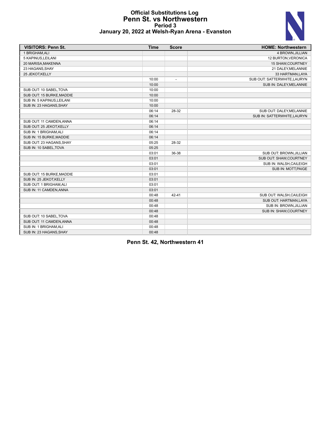# N

### **Official Substitutions Log Penn St. vs Northwestern Period 3 January 20, 2022 at Welsh-Ryan Arena - Evanston**

| <b>VISITORS: Penn St.</b>  | <b>Time</b> | <b>Score</b>             | <b>HOME: Northwestern</b>    |
|----------------------------|-------------|--------------------------|------------------------------|
| 1 BRIGHAM, ALI             |             |                          | 4 BROWN, JILLIAN             |
| 5 KAPINUS, LEILANI         |             |                          | 12 BURTON, VERONICA          |
| 20 MARISA, MAKENNA         |             |                          | 15 SHAW, COURTNEY            |
| 23 HAGANS, SHAY            |             |                          | 21 DALEY, MELANNIE           |
| 25 JEKOT, KELLY            |             |                          | 33 HARTMAN, LAYA             |
|                            | 10:00       | $\overline{\phantom{a}}$ | SUB OUT: SATTERWHITE, LAURYN |
|                            | 10:00       |                          | SUB IN: DALEY, MELANNIE      |
| SUB OUT: 10 SABEL, TOVA    | 10:00       |                          |                              |
| SUB OUT: 15 BURKE, MADDIE  | 10:00       |                          |                              |
| SUB IN: 5 KAPINUS, LEILANI | 10:00       |                          |                              |
| SUB IN: 23 HAGANS, SHAY    | 10:00       |                          |                              |
|                            | 06:14       | 28-32                    | SUB OUT: DALEY, MELANNIE     |
|                            | 06:14       |                          | SUB IN: SATTERWHITE, LAURYN  |
| SUB OUT: 11 CAMDEN, ANNA   | 06:14       |                          |                              |
| SUB OUT: 25 JEKOT, KELLY   | 06:14       |                          |                              |
| SUB IN: 1 BRIGHAM, ALI     | 06:14       |                          |                              |
| SUB IN: 15 BURKE, MADDIE   | 06:14       |                          |                              |
| SUB OUT: 23 HAGANS, SHAY   | 05:25       | 28-32                    |                              |
| SUB IN: 10 SABEL, TOVA     | 05:25       |                          |                              |
|                            | 03:01       | 36-38                    | SUB OUT: BROWN, JILLIAN      |
|                            | 03:01       |                          | SUB OUT: SHAW, COURTNEY      |
|                            | 03:01       |                          | SUB IN: WALSH, CAILEIGH      |
|                            | 03:01       |                          | SUB IN: MOTT, PAIGE          |
| SUB OUT: 15 BURKE, MADDIE  | 03:01       |                          |                              |
| SUB IN: 25 JEKOT, KELLY    | 03:01       |                          |                              |
| SUB OUT: 1 BRIGHAM, ALI    | 03:01       |                          |                              |
| SUB IN: 11 CAMDEN, ANNA    | 03:01       |                          |                              |
|                            | 00:48       | $42 - 41$                | SUB OUT: WALSH, CAILEIGH     |
|                            | 00:48       |                          | SUB OUT: HARTMAN, LAYA       |
|                            | 00:48       |                          | SUB IN: BROWN, JILLIAN       |
|                            | 00:48       |                          | SUB IN: SHAW, COURTNEY       |
| SUB OUT: 10 SABEL, TOVA    | 00:48       |                          |                              |
| SUB OUT: 11 CAMDEN, ANNA   | 00:48       |                          |                              |
| SUB IN: 1 BRIGHAM, ALI     | 00:48       |                          |                              |
| SUB IN: 23 HAGANS, SHAY    | 00:48       |                          |                              |

**Penn St. 42, Northwestern 41**